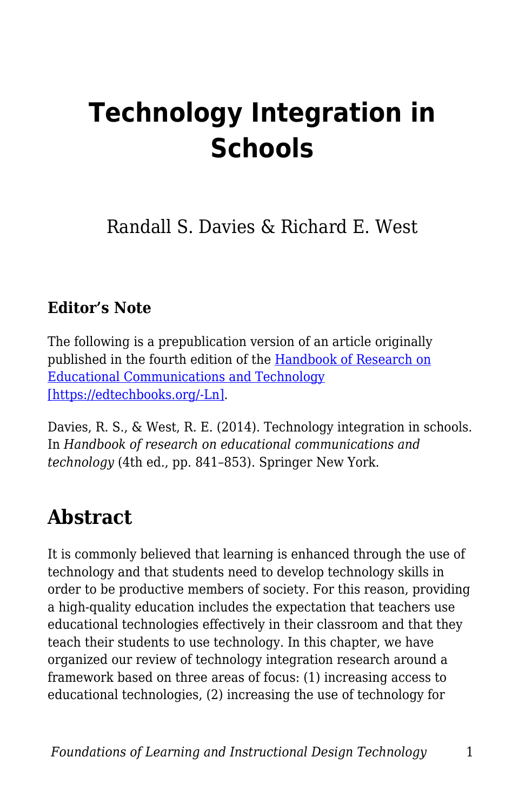# **Technology Integration in Schools**

Randall S. Davies & Richard E. West

#### **Editor's Note**

The following is a prepublication version of an article originally published in the fourth edition of the [Handbook of Research on](http://www.springer.com/us/book/9781461431848) [Educational Communications and Technology](http://www.springer.com/us/book/9781461431848) [\[https://edtechbooks.org/-Ln\]](http://www.springer.com/us/book/9781461431848)*.*

Davies, R. S., & West, R. E. (2014). Technology integration in schools. In *Handbook of research on educational communications and technology* (4th ed., pp. 841–853). Springer New York.

## **Abstract**

It is commonly believed that learning is enhanced through the use of technology and that students need to develop technology skills in order to be productive members of society. For this reason, providing a high-quality education includes the expectation that teachers use educational technologies effectively in their classroom and that they teach their students to use technology. In this chapter, we have organized our review of technology integration research around a framework based on three areas of focus: (1) increasing access to educational technologies, (2) increasing the use of technology for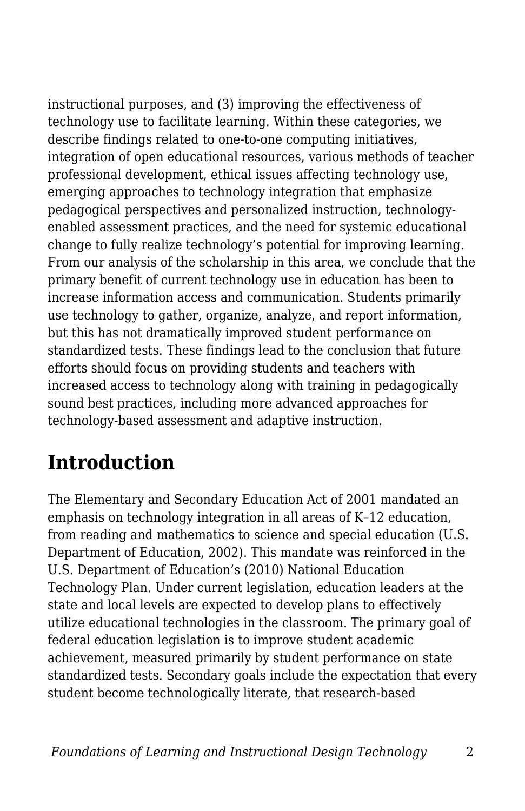instructional purposes, and (3) improving the effectiveness of technology use to facilitate learning. Within these categories, we describe findings related to one-to-one computing initiatives, integration of open educational resources, various methods of teacher professional development, ethical issues affecting technology use, emerging approaches to technology integration that emphasize pedagogical perspectives and personalized instruction, technologyenabled assessment practices, and the need for systemic educational change to fully realize technology's potential for improving learning. From our analysis of the scholarship in this area, we conclude that the primary benefit of current technology use in education has been to increase information access and communication. Students primarily use technology to gather, organize, analyze, and report information, but this has not dramatically improved student performance on standardized tests. These findings lead to the conclusion that future efforts should focus on providing students and teachers with increased access to technology along with training in pedagogically sound best practices, including more advanced approaches for technology-based assessment and adaptive instruction.

## **Introduction**

The Elementary and Secondary Education Act of 2001 mandated an emphasis on technology integration in all areas of K–12 education, from reading and mathematics to science and special education (U.S. Department of Education, 2002). This mandate was reinforced in the U.S. Department of Education's (2010) National Education Technology Plan. Under current legislation, education leaders at the state and local levels are expected to develop plans to effectively utilize educational technologies in the classroom. The primary goal of federal education legislation is to improve student academic achievement, measured primarily by student performance on state standardized tests. Secondary goals include the expectation that every student become technologically literate, that research-based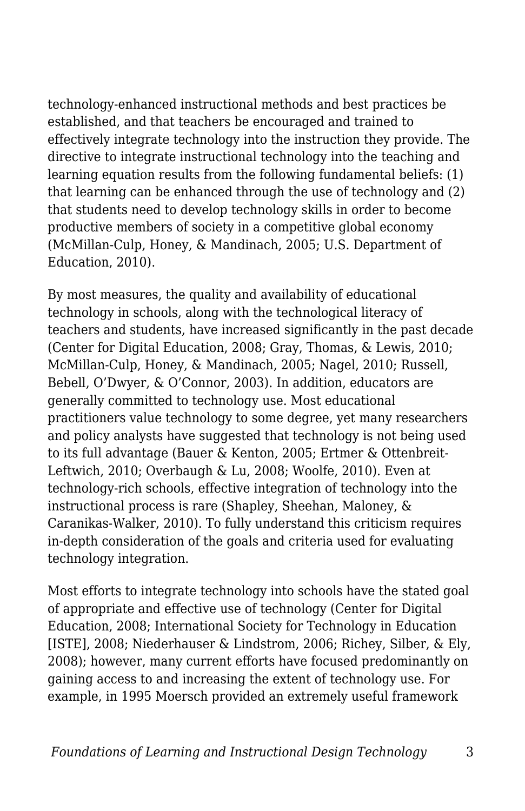technology-enhanced instructional methods and best practices be established, and that teachers be encouraged and trained to effectively integrate technology into the instruction they provide. The directive to integrate instructional technology into the teaching and learning equation results from the following fundamental beliefs: (1) that learning can be enhanced through the use of technology and (2) that students need to develop technology skills in order to become productive members of society in a competitive global economy (McMillan-Culp, Honey, & Mandinach, 2005; U.S. Department of Education, 2010).

By most measures, the quality and availability of educational technology in schools, along with the technological literacy of teachers and students, have increased significantly in the past decade (Center for Digital Education, 2008; Gray, Thomas, & Lewis, 2010; McMillan-Culp, Honey, & Mandinach, 2005; Nagel, 2010; Russell, Bebell, O'Dwyer, & O'Connor, 2003). In addition, educators are generally committed to technology use. Most educational practitioners value technology to some degree, yet many researchers and policy analysts have suggested that technology is not being used to its full advantage (Bauer & Kenton, 2005; Ertmer & Ottenbreit-Leftwich, 2010; Overbaugh & Lu, 2008; Woolfe, 2010). Even at technology-rich schools, effective integration of technology into the instructional process is rare (Shapley, Sheehan, Maloney, & Caranikas-Walker, 2010). To fully understand this criticism requires in-depth consideration of the goals and criteria used for evaluating technology integration.

Most efforts to integrate technology into schools have the stated goal of appropriate and effective use of technology (Center for Digital Education, 2008; International Society for Technology in Education [ISTE], 2008; Niederhauser & Lindstrom, 2006; Richey, Silber, & Ely, 2008); however, many current efforts have focused predominantly on gaining access to and increasing the extent of technology use. For example, in 1995 Moersch provided an extremely useful framework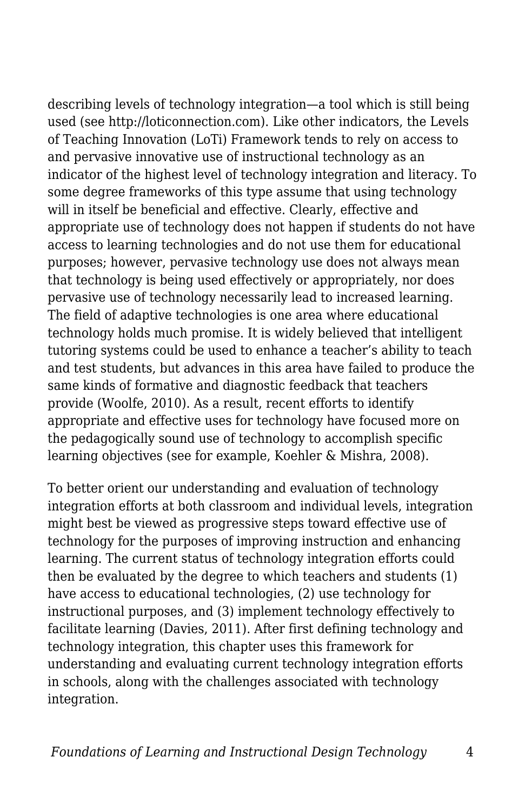describing levels of technology integration—a tool which is still being used (see http://loticonnection.com). Like other indicators, the Levels of Teaching Innovation (LoTi) Framework tends to rely on access to and pervasive innovative use of instructional technology as an indicator of the highest level of technology integration and literacy. To some degree frameworks of this type assume that using technology will in itself be beneficial and effective. Clearly, effective and appropriate use of technology does not happen if students do not have access to learning technologies and do not use them for educational purposes; however, pervasive technology use does not always mean that technology is being used effectively or appropriately, nor does pervasive use of technology necessarily lead to increased learning. The field of adaptive technologies is one area where educational technology holds much promise. It is widely believed that intelligent tutoring systems could be used to enhance a teacher's ability to teach and test students, but advances in this area have failed to produce the same kinds of formative and diagnostic feedback that teachers provide (Woolfe, 2010). As a result, recent efforts to identify appropriate and effective uses for technology have focused more on the pedagogically sound use of technology to accomplish specific learning objectives (see for example, Koehler & Mishra, 2008).

To better orient our understanding and evaluation of technology integration efforts at both classroom and individual levels, integration might best be viewed as progressive steps toward effective use of technology for the purposes of improving instruction and enhancing learning. The current status of technology integration efforts could then be evaluated by the degree to which teachers and students (1) have access to educational technologies, (2) use technology for instructional purposes, and (3) implement technology effectively to facilitate learning (Davies, 2011). After first defining technology and technology integration, this chapter uses this framework for understanding and evaluating current technology integration efforts in schools, along with the challenges associated with technology integration.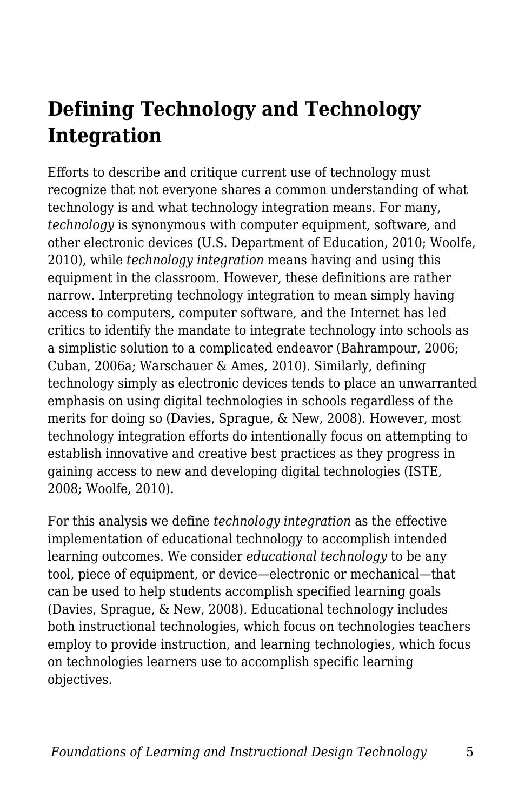## **Defining Technology and Technology Integration**

Efforts to describe and critique current use of technology must recognize that not everyone shares a common understanding of what technology is and what technology integration means. For many, *technology* is synonymous with computer equipment, software, and other electronic devices (U.S. Department of Education, 2010; Woolfe, 2010), while *technology integration* means having and using this equipment in the classroom. However, these definitions are rather narrow. Interpreting technology integration to mean simply having access to computers, computer software, and the Internet has led critics to identify the mandate to integrate technology into schools as a simplistic solution to a complicated endeavor (Bahrampour, 2006; Cuban, 2006a; Warschauer & Ames, 2010). Similarly, defining technology simply as electronic devices tends to place an unwarranted emphasis on using digital technologies in schools regardless of the merits for doing so (Davies, Sprague, & New, 2008). However, most technology integration efforts do intentionally focus on attempting to establish innovative and creative best practices as they progress in gaining access to new and developing digital technologies (ISTE, 2008; Woolfe, 2010).

For this analysis we define *technology integration* as the effective implementation of educational technology to accomplish intended learning outcomes. We consider *educational technology* to be any tool, piece of equipment, or device—electronic or mechanical—that can be used to help students accomplish specified learning goals (Davies, Sprague, & New, 2008). Educational technology includes both instructional technologies, which focus on technologies teachers employ to provide instruction, and learning technologies, which focus on technologies learners use to accomplish specific learning objectives.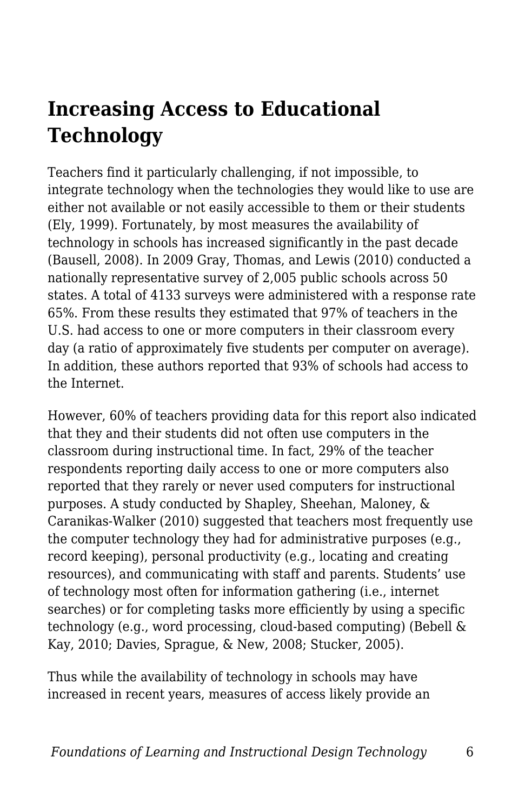## **Increasing Access to Educational Technology**

Teachers find it particularly challenging, if not impossible, to integrate technology when the technologies they would like to use are either not available or not easily accessible to them or their students (Ely, 1999). Fortunately, by most measures the availability of technology in schools has increased significantly in the past decade (Bausell, 2008). In 2009 Gray, Thomas, and Lewis (2010) conducted a nationally representative survey of 2,005 public schools across 50 states. A total of 4133 surveys were administered with a response rate 65%. From these results they estimated that 97% of teachers in the U.S. had access to one or more computers in their classroom every day (a ratio of approximately five students per computer on average). In addition, these authors reported that 93% of schools had access to the Internet.

However, 60% of teachers providing data for this report also indicated that they and their students did not often use computers in the classroom during instructional time. In fact, 29% of the teacher respondents reporting daily access to one or more computers also reported that they rarely or never used computers for instructional purposes. A study conducted by Shapley, Sheehan, Maloney, & Caranikas-Walker (2010) suggested that teachers most frequently use the computer technology they had for administrative purposes (e.g., record keeping), personal productivity (e.g., locating and creating resources), and communicating with staff and parents. Students' use of technology most often for information gathering (i.e., internet searches) or for completing tasks more efficiently by using a specific technology (e.g., word processing, cloud-based computing) (Bebell & Kay, 2010; Davies, Sprague, & New, 2008; Stucker, 2005).

Thus while the availability of technology in schools may have increased in recent years, measures of access likely provide an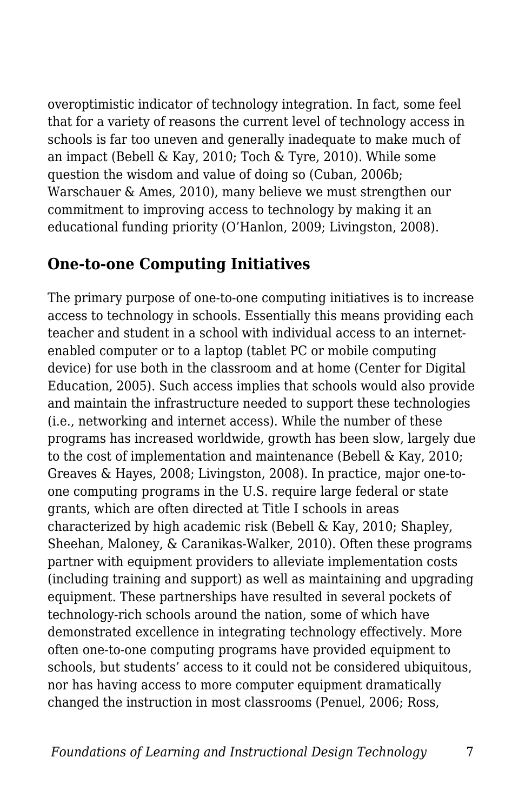overoptimistic indicator of technology integration. In fact, some feel that for a variety of reasons the current level of technology access in schools is far too uneven and generally inadequate to make much of an impact (Bebell & Kay, 2010; Toch & Tyre, 2010). While some question the wisdom and value of doing so (Cuban, 2006b; Warschauer & Ames, 2010), many believe we must strengthen our commitment to improving access to technology by making it an educational funding priority (O'Hanlon, 2009; Livingston, 2008).

#### **One-to-one Computing Initiatives**

The primary purpose of one-to-one computing initiatives is to increase access to technology in schools. Essentially this means providing each teacher and student in a school with individual access to an internetenabled computer or to a laptop (tablet PC or mobile computing device) for use both in the classroom and at home (Center for Digital Education, 2005). Such access implies that schools would also provide and maintain the infrastructure needed to support these technologies (i.e., networking and internet access). While the number of these programs has increased worldwide, growth has been slow, largely due to the cost of implementation and maintenance (Bebell & Kay, 2010; Greaves & Hayes, 2008; Livingston, 2008). In practice, major one-toone computing programs in the U.S. require large federal or state grants, which are often directed at Title I schools in areas characterized by high academic risk (Bebell & Kay, 2010; Shapley, Sheehan, Maloney, & Caranikas-Walker, 2010). Often these programs partner with equipment providers to alleviate implementation costs (including training and support) as well as maintaining and upgrading equipment. These partnerships have resulted in several pockets of technology-rich schools around the nation, some of which have demonstrated excellence in integrating technology effectively. More often one-to-one computing programs have provided equipment to schools, but students' access to it could not be considered ubiquitous, nor has having access to more computer equipment dramatically changed the instruction in most classrooms (Penuel, 2006; Ross,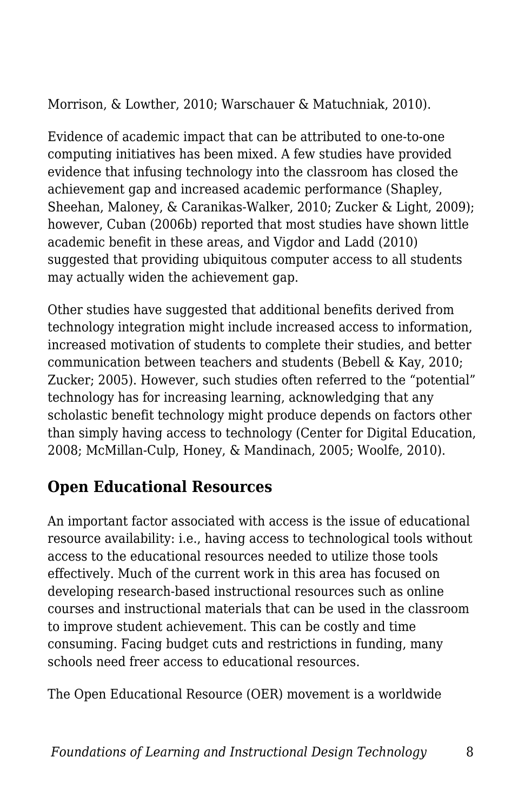Morrison, & Lowther, 2010; Warschauer & Matuchniak, 2010).

Evidence of academic impact that can be attributed to one-to-one computing initiatives has been mixed. A few studies have provided evidence that infusing technology into the classroom has closed the achievement gap and increased academic performance (Shapley, Sheehan, Maloney, & Caranikas-Walker, 2010; Zucker & Light, 2009); however, Cuban (2006b) reported that most studies have shown little academic benefit in these areas, and Vigdor and Ladd (2010) suggested that providing ubiquitous computer access to all students may actually widen the achievement gap.

Other studies have suggested that additional benefits derived from technology integration might include increased access to information, increased motivation of students to complete their studies, and better communication between teachers and students (Bebell & Kay, 2010; Zucker; 2005). However, such studies often referred to the "potential" technology has for increasing learning, acknowledging that any scholastic benefit technology might produce depends on factors other than simply having access to technology (Center for Digital Education, 2008; McMillan-Culp, Honey, & Mandinach, 2005; Woolfe, 2010).

## **Open Educational Resources**

An important factor associated with access is the issue of educational resource availability: i.e., having access to technological tools without access to the educational resources needed to utilize those tools effectively. Much of the current work in this area has focused on developing research-based instructional resources such as online courses and instructional materials that can be used in the classroom to improve student achievement. This can be costly and time consuming. Facing budget cuts and restrictions in funding, many schools need freer access to educational resources.

The Open Educational Resource (OER) movement is a worldwide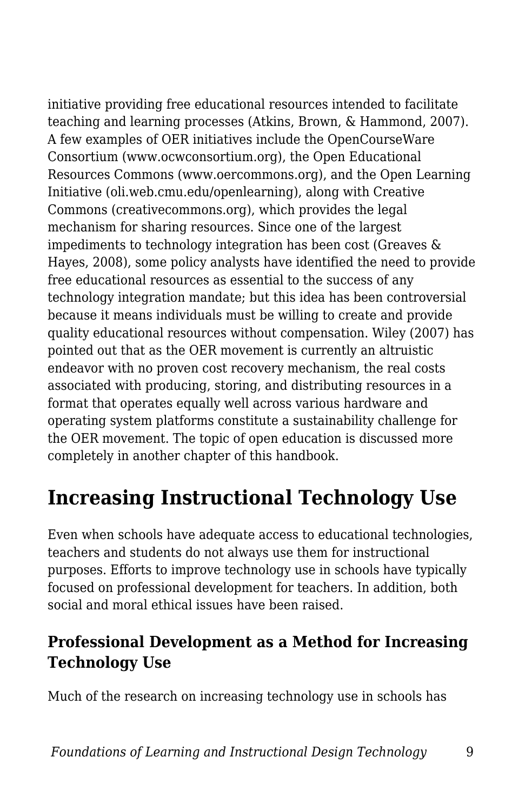initiative providing free educational resources intended to facilitate teaching and learning processes (Atkins, Brown, & Hammond, 2007). A few examples of OER initiatives include the OpenCourseWare Consortium (www.ocwconsortium.org), the Open Educational Resources Commons (www.oercommons.org), and the Open Learning Initiative (oli.web.cmu.edu/openlearning), along with Creative Commons (creativecommons.org), which provides the legal mechanism for sharing resources. Since one of the largest impediments to technology integration has been cost (Greaves & Hayes, 2008), some policy analysts have identified the need to provide free educational resources as essential to the success of any technology integration mandate; but this idea has been controversial because it means individuals must be willing to create and provide quality educational resources without compensation. Wiley (2007) has pointed out that as the OER movement is currently an altruistic endeavor with no proven cost recovery mechanism, the real costs associated with producing, storing, and distributing resources in a format that operates equally well across various hardware and operating system platforms constitute a sustainability challenge for the OER movement. The topic of open education is discussed more completely in another chapter of this handbook.

## **Increasing Instructional Technology Use**

Even when schools have adequate access to educational technologies, teachers and students do not always use them for instructional purposes. Efforts to improve technology use in schools have typically focused on professional development for teachers. In addition, both social and moral ethical issues have been raised.

## **Professional Development as a Method for Increasing Technology Use**

Much of the research on increasing technology use in schools has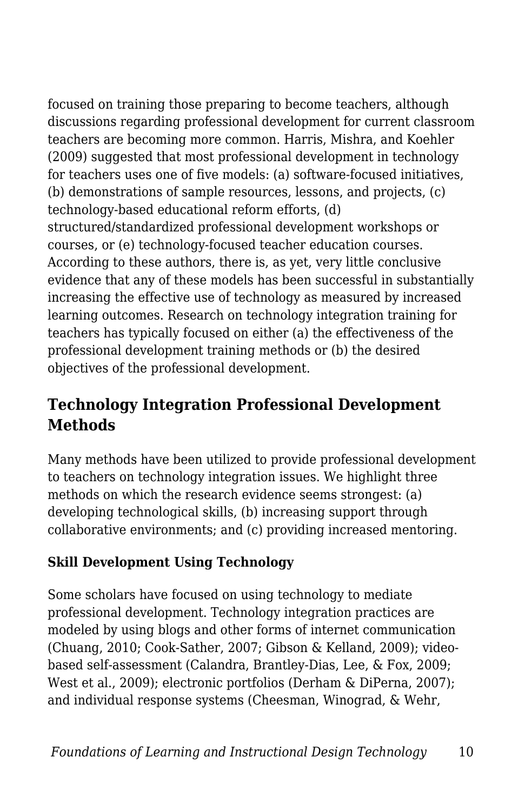focused on training those preparing to become teachers, although discussions regarding professional development for current classroom teachers are becoming more common. Harris, Mishra, and Koehler (2009) suggested that most professional development in technology for teachers uses one of five models: (a) software-focused initiatives, (b) demonstrations of sample resources, lessons, and projects, (c) technology-based educational reform efforts, (d) structured/standardized professional development workshops or courses, or (e) technology-focused teacher education courses. According to these authors, there is, as yet, very little conclusive evidence that any of these models has been successful in substantially increasing the effective use of technology as measured by increased learning outcomes. Research on technology integration training for teachers has typically focused on either (a) the effectiveness of the professional development training methods or (b) the desired objectives of the professional development.

### **Technology Integration Professional Development Methods**

Many methods have been utilized to provide professional development to teachers on technology integration issues. We highlight three methods on which the research evidence seems strongest: (a) developing technological skills, (b) increasing support through collaborative environments; and (c) providing increased mentoring.

#### **Skill Development Using Technology**

Some scholars have focused on using technology to mediate professional development. Technology integration practices are modeled by using blogs and other forms of internet communication (Chuang, 2010; Cook-Sather, 2007; Gibson & Kelland, 2009); videobased self-assessment (Calandra, Brantley-Dias, Lee, & Fox, 2009; West et al., 2009); electronic portfolios (Derham & DiPerna, 2007); and individual response systems (Cheesman, Winograd, & Wehr,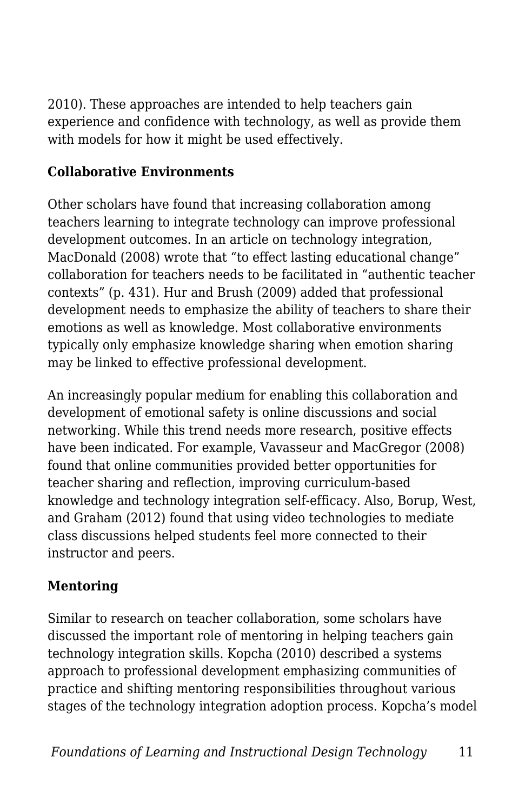2010). These approaches are intended to help teachers gain experience and confidence with technology, as well as provide them with models for how it might be used effectively.

#### **Collaborative Environments**

Other scholars have found that increasing collaboration among teachers learning to integrate technology can improve professional development outcomes. In an article on technology integration, MacDonald (2008) wrote that "to effect lasting educational change" collaboration for teachers needs to be facilitated in "authentic teacher contexts" (p. 431). Hur and Brush (2009) added that professional development needs to emphasize the ability of teachers to share their emotions as well as knowledge. Most collaborative environments typically only emphasize knowledge sharing when emotion sharing may be linked to effective professional development.

An increasingly popular medium for enabling this collaboration and development of emotional safety is online discussions and social networking. While this trend needs more research, positive effects have been indicated. For example, Vavasseur and MacGregor (2008) found that online communities provided better opportunities for teacher sharing and reflection, improving curriculum-based knowledge and technology integration self-efficacy. Also, Borup, West, and Graham (2012) found that using video technologies to mediate class discussions helped students feel more connected to their instructor and peers.

#### **Mentoring**

Similar to research on teacher collaboration, some scholars have discussed the important role of mentoring in helping teachers gain technology integration skills. Kopcha (2010) described a systems approach to professional development emphasizing communities of practice and shifting mentoring responsibilities throughout various stages of the technology integration adoption process. Kopcha's model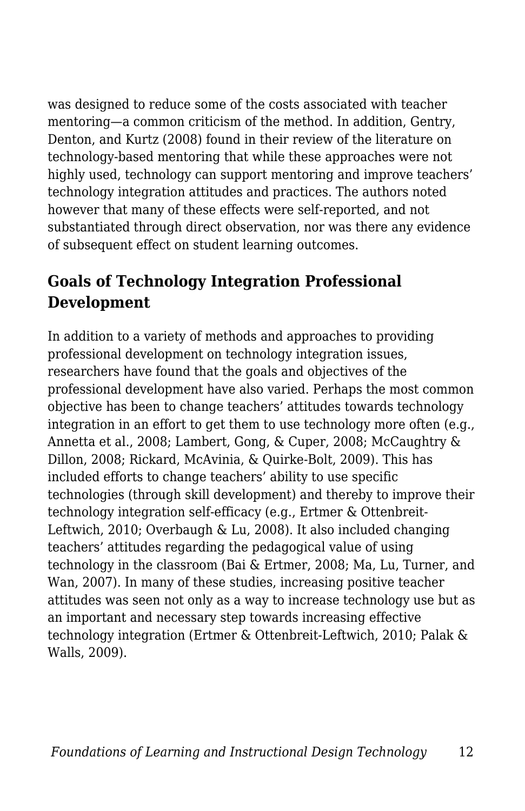was designed to reduce some of the costs associated with teacher mentoring—a common criticism of the method. In addition, Gentry, Denton, and Kurtz (2008) found in their review of the literature on technology-based mentoring that while these approaches were not highly used, technology can support mentoring and improve teachers' technology integration attitudes and practices. The authors noted however that many of these effects were self-reported, and not substantiated through direct observation, nor was there any evidence of subsequent effect on student learning outcomes.

## **Goals of Technology Integration Professional Development**

In addition to a variety of methods and approaches to providing professional development on technology integration issues, researchers have found that the goals and objectives of the professional development have also varied. Perhaps the most common objective has been to change teachers' attitudes towards technology integration in an effort to get them to use technology more often (e.g., Annetta et al., 2008; Lambert, Gong, & Cuper, 2008; McCaughtry & Dillon, 2008; Rickard, McAvinia, & Quirke-Bolt, 2009). This has included efforts to change teachers' ability to use specific technologies (through skill development) and thereby to improve their technology integration self-efficacy (e.g., Ertmer & Ottenbreit-Leftwich, 2010; Overbaugh & Lu, 2008). It also included changing teachers' attitudes regarding the pedagogical value of using technology in the classroom (Bai & Ertmer, 2008; Ma, Lu, Turner, and Wan, 2007). In many of these studies, increasing positive teacher attitudes was seen not only as a way to increase technology use but as an important and necessary step towards increasing effective technology integration (Ertmer & Ottenbreit-Leftwich, 2010; Palak & Walls, 2009).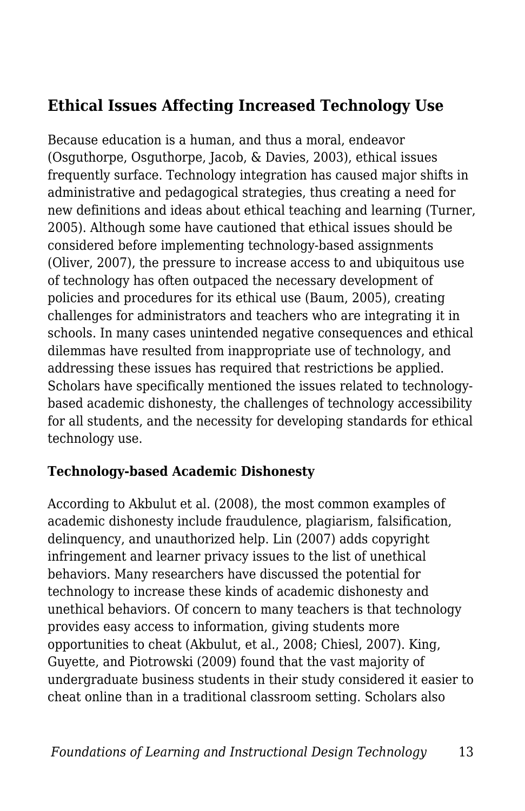### **Ethical Issues Affecting Increased Technology Use**

Because education is a human, and thus a moral, endeavor (Osguthorpe, Osguthorpe, Jacob, & Davies, 2003), ethical issues frequently surface. Technology integration has caused major shifts in administrative and pedagogical strategies, thus creating a need for new definitions and ideas about ethical teaching and learning (Turner, 2005). Although some have cautioned that ethical issues should be considered before implementing technology-based assignments (Oliver, 2007), the pressure to increase access to and ubiquitous use of technology has often outpaced the necessary development of policies and procedures for its ethical use (Baum, 2005), creating challenges for administrators and teachers who are integrating it in schools. In many cases unintended negative consequences and ethical dilemmas have resulted from inappropriate use of technology, and addressing these issues has required that restrictions be applied. Scholars have specifically mentioned the issues related to technologybased academic dishonesty, the challenges of technology accessibility for all students, and the necessity for developing standards for ethical technology use.

#### **Technology-based Academic Dishonesty**

According to Akbulut et al. (2008), the most common examples of academic dishonesty include fraudulence, plagiarism, falsification, delinquency, and unauthorized help. Lin (2007) adds copyright infringement and learner privacy issues to the list of unethical behaviors. Many researchers have discussed the potential for technology to increase these kinds of academic dishonesty and unethical behaviors. Of concern to many teachers is that technology provides easy access to information, giving students more opportunities to cheat (Akbulut, et al., 2008; Chiesl, 2007). King, Guyette, and Piotrowski (2009) found that the vast majority of undergraduate business students in their study considered it easier to cheat online than in a traditional classroom setting. Scholars also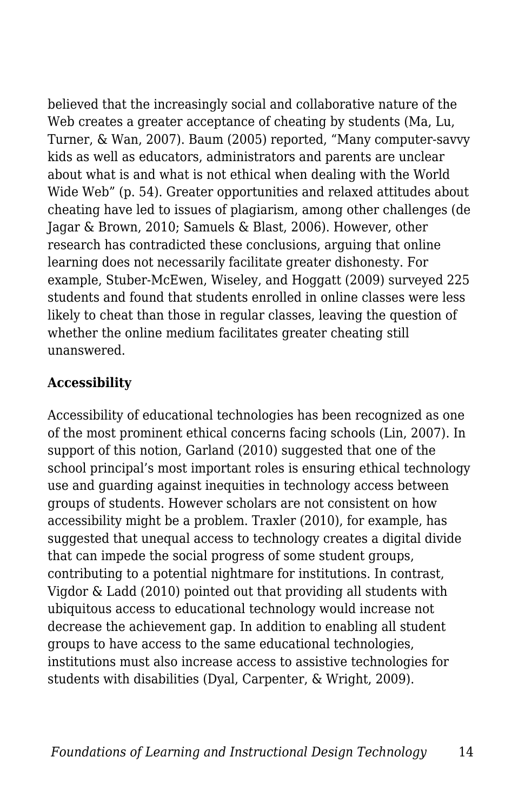believed that the increasingly social and collaborative nature of the Web creates a greater acceptance of cheating by students (Ma, Lu, Turner, & Wan, 2007). Baum (2005) reported, "Many computer-savvy kids as well as educators, administrators and parents are unclear about what is and what is not ethical when dealing with the World Wide Web" (p. 54). Greater opportunities and relaxed attitudes about cheating have led to issues of plagiarism, among other challenges (de Jagar & Brown, 2010; Samuels & Blast, 2006). However, other research has contradicted these conclusions, arguing that online learning does not necessarily facilitate greater dishonesty. For example, Stuber-McEwen, Wiseley, and Hoggatt (2009) surveyed 225 students and found that students enrolled in online classes were less likely to cheat than those in regular classes, leaving the question of whether the online medium facilitates greater cheating still unanswered.

#### **Accessibility**

Accessibility of educational technologies has been recognized as one of the most prominent ethical concerns facing schools (Lin, 2007). In support of this notion, Garland (2010) suggested that one of the school principal's most important roles is ensuring ethical technology use and guarding against inequities in technology access between groups of students. However scholars are not consistent on how accessibility might be a problem. Traxler (2010), for example, has suggested that unequal access to technology creates a digital divide that can impede the social progress of some student groups, contributing to a potential nightmare for institutions. In contrast, Vigdor & Ladd (2010) pointed out that providing all students with ubiquitous access to educational technology would increase not decrease the achievement gap. In addition to enabling all student groups to have access to the same educational technologies, institutions must also increase access to assistive technologies for students with disabilities (Dyal, Carpenter, & Wright, 2009).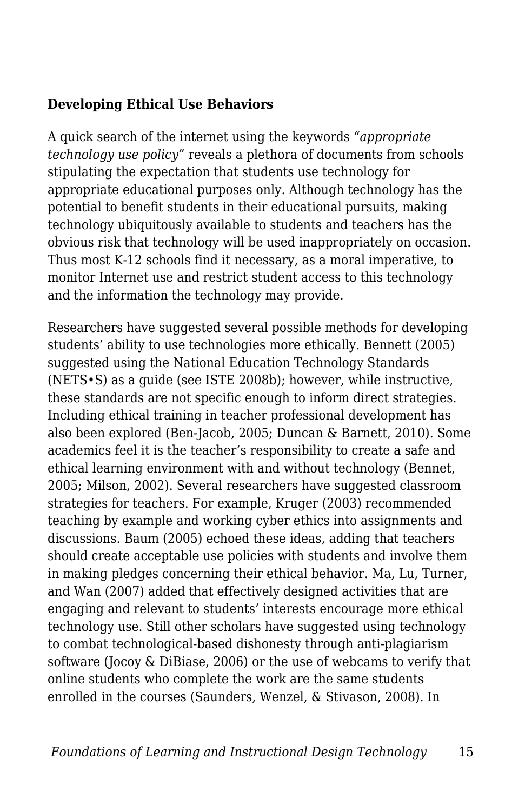#### **Developing Ethical Use Behaviors**

A quick search of the internet using the keywords *"appropriate technology use policy"* reveals a plethora of documents from schools stipulating the expectation that students use technology for appropriate educational purposes only. Although technology has the potential to benefit students in their educational pursuits, making technology ubiquitously available to students and teachers has the obvious risk that technology will be used inappropriately on occasion. Thus most K-12 schools find it necessary, as a moral imperative, to monitor Internet use and restrict student access to this technology and the information the technology may provide.

Researchers have suggested several possible methods for developing students' ability to use technologies more ethically. Bennett (2005) suggested using the National Education Technology Standards (NETS•S) as a guide (see ISTE 2008b); however, while instructive, these standards are not specific enough to inform direct strategies. Including ethical training in teacher professional development has also been explored (Ben-Jacob, 2005; Duncan & Barnett, 2010). Some academics feel it is the teacher's responsibility to create a safe and ethical learning environment with and without technology (Bennet, 2005; Milson, 2002). Several researchers have suggested classroom strategies for teachers. For example, Kruger (2003) recommended teaching by example and working cyber ethics into assignments and discussions. Baum (2005) echoed these ideas, adding that teachers should create acceptable use policies with students and involve them in making pledges concerning their ethical behavior. Ma, Lu, Turner, and Wan (2007) added that effectively designed activities that are engaging and relevant to students' interests encourage more ethical technology use. Still other scholars have suggested using technology to combat technological-based dishonesty through anti-plagiarism software (Jocoy & DiBiase, 2006) or the use of webcams to verify that online students who complete the work are the same students enrolled in the courses (Saunders, Wenzel, & Stivason, 2008). In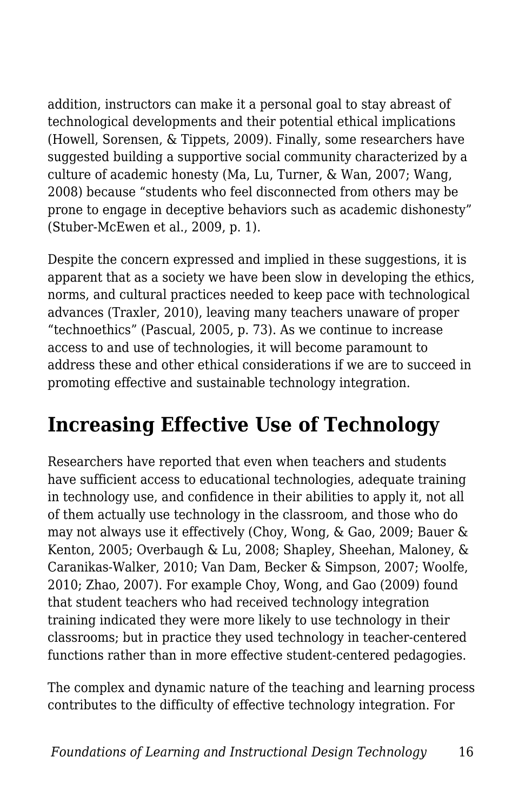addition, instructors can make it a personal goal to stay abreast of technological developments and their potential ethical implications (Howell, Sorensen, & Tippets, 2009). Finally, some researchers have suggested building a supportive social community characterized by a culture of academic honesty (Ma, Lu, Turner, & Wan, 2007; Wang, 2008) because "students who feel disconnected from others may be prone to engage in deceptive behaviors such as academic dishonesty" (Stuber-McEwen et al., 2009, p. 1).

Despite the concern expressed and implied in these suggestions, it is apparent that as a society we have been slow in developing the ethics, norms, and cultural practices needed to keep pace with technological advances (Traxler, 2010), leaving many teachers unaware of proper "technoethics" (Pascual, 2005, p. 73). As we continue to increase access to and use of technologies, it will become paramount to address these and other ethical considerations if we are to succeed in promoting effective and sustainable technology integration.

## **Increasing Effective Use of Technology**

Researchers have reported that even when teachers and students have sufficient access to educational technologies, adequate training in technology use, and confidence in their abilities to apply it, not all of them actually use technology in the classroom, and those who do may not always use it effectively (Choy, Wong, & Gao, 2009; Bauer & Kenton, 2005; Overbaugh & Lu, 2008; Shapley, Sheehan, Maloney, & Caranikas-Walker, 2010; Van Dam, Becker & Simpson, 2007; Woolfe, 2010; Zhao, 2007). For example Choy, Wong, and Gao (2009) found that student teachers who had received technology integration training indicated they were more likely to use technology in their classrooms; but in practice they used technology in teacher-centered functions rather than in more effective student-centered pedagogies.

The complex and dynamic nature of the teaching and learning process contributes to the difficulty of effective technology integration. For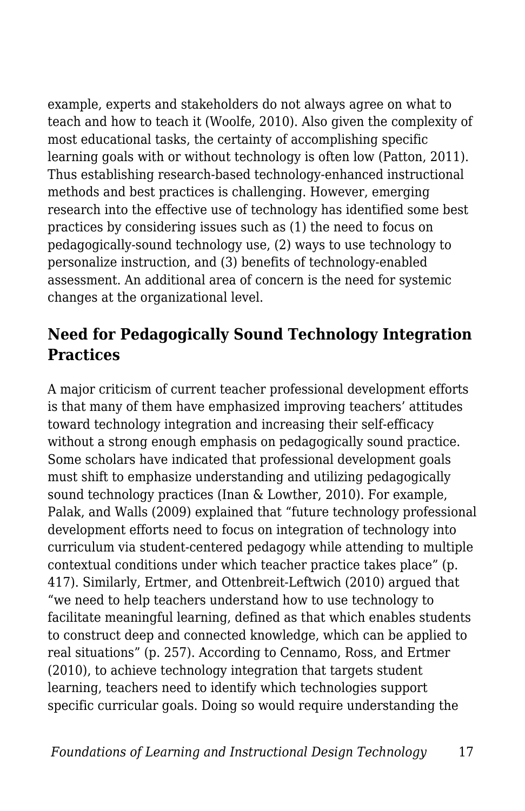example, experts and stakeholders do not always agree on what to teach and how to teach it (Woolfe, 2010). Also given the complexity of most educational tasks, the certainty of accomplishing specific learning goals with or without technology is often low (Patton, 2011). Thus establishing research-based technology-enhanced instructional methods and best practices is challenging. However, emerging research into the effective use of technology has identified some best practices by considering issues such as (1) the need to focus on pedagogically-sound technology use, (2) ways to use technology to personalize instruction, and (3) benefits of technology-enabled assessment. An additional area of concern is the need for systemic changes at the organizational level.

### **Need for Pedagogically Sound Technology Integration Practices**

A major criticism of current teacher professional development efforts is that many of them have emphasized improving teachers' attitudes toward technology integration and increasing their self-efficacy without a strong enough emphasis on pedagogically sound practice. Some scholars have indicated that professional development goals must shift to emphasize understanding and utilizing pedagogically sound technology practices (Inan & Lowther, 2010). For example, Palak, and Walls (2009) explained that "future technology professional development efforts need to focus on integration of technology into curriculum via student-centered pedagogy while attending to multiple contextual conditions under which teacher practice takes place" (p. 417). Similarly, Ertmer, and Ottenbreit-Leftwich (2010) argued that "we need to help teachers understand how to use technology to facilitate meaningful learning, defined as that which enables students to construct deep and connected knowledge, which can be applied to real situations" (p. 257). According to Cennamo, Ross, and Ertmer (2010), to achieve technology integration that targets student learning, teachers need to identify which technologies support specific curricular goals. Doing so would require understanding the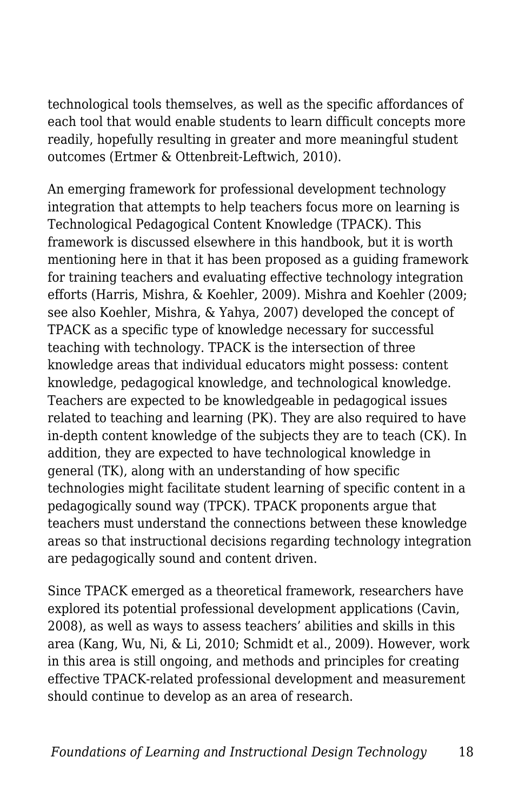technological tools themselves, as well as the specific affordances of each tool that would enable students to learn difficult concepts more readily, hopefully resulting in greater and more meaningful student outcomes (Ertmer & Ottenbreit-Leftwich, 2010).

An emerging framework for professional development technology integration that attempts to help teachers focus more on learning is Technological Pedagogical Content Knowledge (TPACK). This framework is discussed elsewhere in this handbook, but it is worth mentioning here in that it has been proposed as a guiding framework for training teachers and evaluating effective technology integration efforts (Harris, Mishra, & Koehler, 2009). Mishra and Koehler (2009; see also Koehler, Mishra, & Yahya, 2007) developed the concept of TPACK as a specific type of knowledge necessary for successful teaching with technology. TPACK is the intersection of three knowledge areas that individual educators might possess: content knowledge, pedagogical knowledge, and technological knowledge. Teachers are expected to be knowledgeable in pedagogical issues related to teaching and learning (PK). They are also required to have in-depth content knowledge of the subjects they are to teach (CK). In addition, they are expected to have technological knowledge in general (TK), along with an understanding of how specific technologies might facilitate student learning of specific content in a pedagogically sound way (TPCK). TPACK proponents argue that teachers must understand the connections between these knowledge areas so that instructional decisions regarding technology integration are pedagogically sound and content driven.

Since TPACK emerged as a theoretical framework, researchers have explored its potential professional development applications (Cavin, 2008), as well as ways to assess teachers' abilities and skills in this area (Kang, Wu, Ni, & Li, 2010; Schmidt et al., 2009). However, work in this area is still ongoing, and methods and principles for creating effective TPACK-related professional development and measurement should continue to develop as an area of research.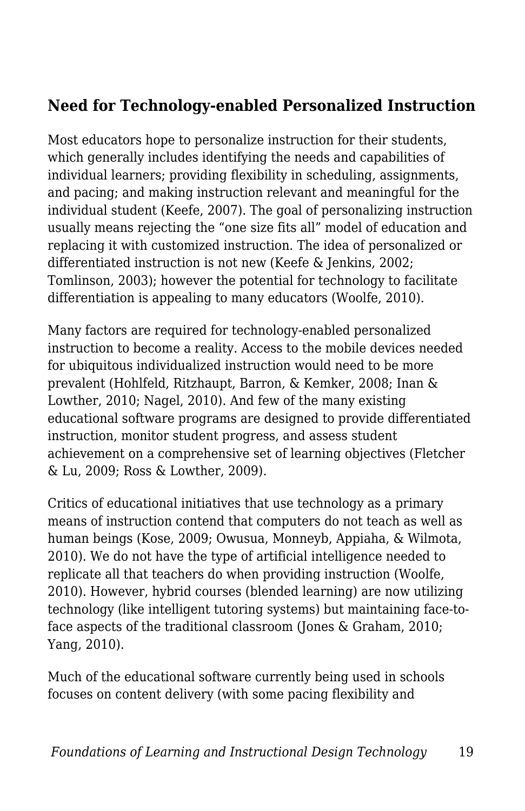### **Need for Technology-enabled Personalized Instruction**

Most educators hope to personalize instruction for their students, which generally includes identifying the needs and capabilities of individual learners; providing flexibility in scheduling, assignments, and pacing; and making instruction relevant and meaningful for the individual student (Keefe, 2007). The goal of personalizing instruction usually means rejecting the "one size fits all" model of education and replacing it with customized instruction. The idea of personalized or differentiated instruction is not new (Keefe & Jenkins, 2002; Tomlinson, 2003); however the potential for technology to facilitate differentiation is appealing to many educators (Woolfe, 2010).

Many factors are required for technology-enabled personalized instruction to become a reality. Access to the mobile devices needed for ubiquitous individualized instruction would need to be more prevalent (Hohlfeld, Ritzhaupt, Barron, & Kemker, 2008; Inan & Lowther, 2010; Nagel, 2010). And few of the many existing educational software programs are designed to provide differentiated instruction, monitor student progress, and assess student achievement on a comprehensive set of learning objectives (Fletcher & Lu, 2009; Ross & Lowther, 2009).

Critics of educational initiatives that use technology as a primary means of instruction contend that computers do not teach as well as human beings (Kose, 2009; Owusua, Monneyb, Appiaha, & Wilmota, 2010). We do not have the type of artificial intelligence needed to replicate all that teachers do when providing instruction (Woolfe, 2010). However, hybrid courses (blended learning) are now utilizing technology (like intelligent tutoring systems) but maintaining face-toface aspects of the traditional classroom (Jones & Graham, 2010; Yang, 2010).

Much of the educational software currently being used in schools focuses on content delivery (with some pacing flexibility and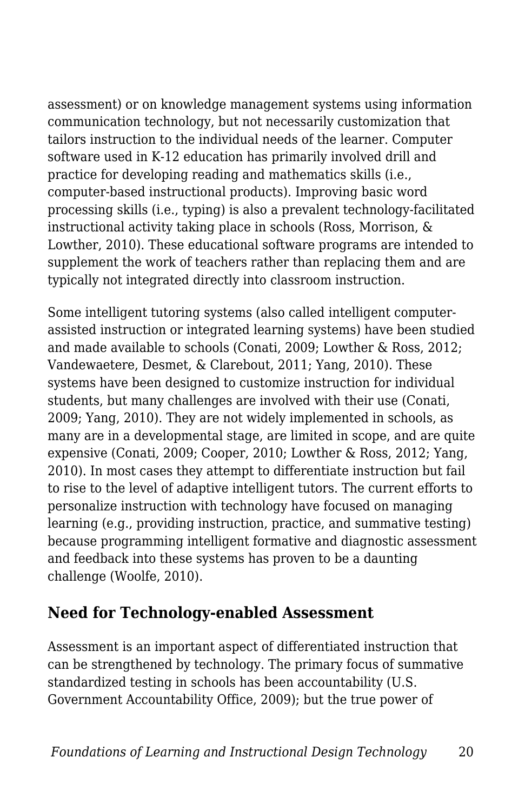assessment) or on knowledge management systems using information communication technology, but not necessarily customization that tailors instruction to the individual needs of the learner. Computer software used in K-12 education has primarily involved drill and practice for developing reading and mathematics skills (i.e., computer-based instructional products). Improving basic word processing skills (i.e., typing) is also a prevalent technology-facilitated instructional activity taking place in schools (Ross, Morrison, & Lowther, 2010). These educational software programs are intended to supplement the work of teachers rather than replacing them and are typically not integrated directly into classroom instruction.

Some intelligent tutoring systems (also called intelligent computerassisted instruction or integrated learning systems) have been studied and made available to schools (Conati, 2009; Lowther & Ross, 2012; Vandewaetere, Desmet, & Clarebout, 2011; Yang, 2010). These systems have been designed to customize instruction for individual students, but many challenges are involved with their use (Conati, 2009; Yang, 2010). They are not widely implemented in schools, as many are in a developmental stage, are limited in scope, and are quite expensive (Conati, 2009; Cooper, 2010; Lowther & Ross, 2012; Yang, 2010). In most cases they attempt to differentiate instruction but fail to rise to the level of adaptive intelligent tutors. The current efforts to personalize instruction with technology have focused on managing learning (e.g., providing instruction, practice, and summative testing) because programming intelligent formative and diagnostic assessment and feedback into these systems has proven to be a daunting challenge (Woolfe, 2010).

#### **Need for Technology-enabled Assessment**

Assessment is an important aspect of differentiated instruction that can be strengthened by technology. The primary focus of summative standardized testing in schools has been accountability (U.S. Government Accountability Office, 2009); but the true power of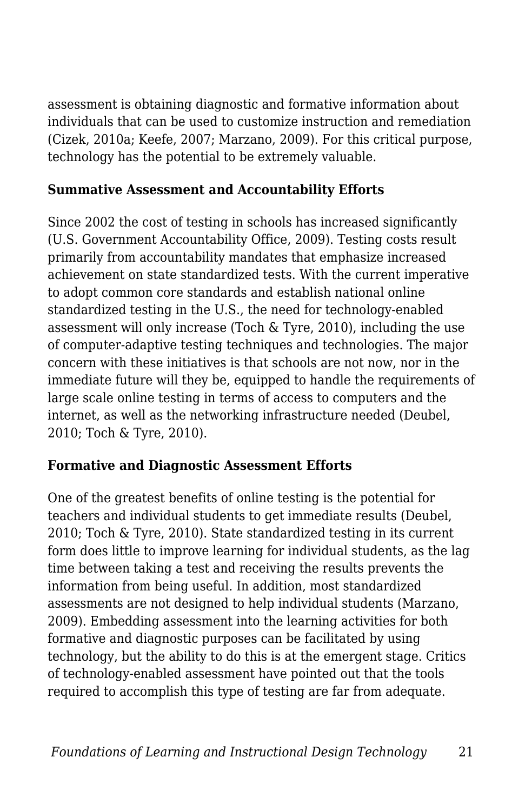assessment is obtaining diagnostic and formative information about individuals that can be used to customize instruction and remediation (Cizek, 2010a; Keefe, 2007; Marzano, 2009). For this critical purpose, technology has the potential to be extremely valuable.

#### **Summative Assessment and Accountability Efforts**

Since 2002 the cost of testing in schools has increased significantly (U.S. Government Accountability Office, 2009). Testing costs result primarily from accountability mandates that emphasize increased achievement on state standardized tests. With the current imperative to adopt common core standards and establish national online standardized testing in the U.S., the need for technology-enabled assessment will only increase (Toch & Tyre, 2010), including the use of computer-adaptive testing techniques and technologies. The major concern with these initiatives is that schools are not now, nor in the immediate future will they be, equipped to handle the requirements of large scale online testing in terms of access to computers and the internet, as well as the networking infrastructure needed (Deubel, 2010; Toch & Tyre, 2010).

#### **Formative and Diagnostic Assessment Efforts**

One of the greatest benefits of online testing is the potential for teachers and individual students to get immediate results (Deubel, 2010; Toch & Tyre, 2010). State standardized testing in its current form does little to improve learning for individual students, as the lag time between taking a test and receiving the results prevents the information from being useful. In addition, most standardized assessments are not designed to help individual students (Marzano, 2009). Embedding assessment into the learning activities for both formative and diagnostic purposes can be facilitated by using technology, but the ability to do this is at the emergent stage. Critics of technology-enabled assessment have pointed out that the tools required to accomplish this type of testing are far from adequate.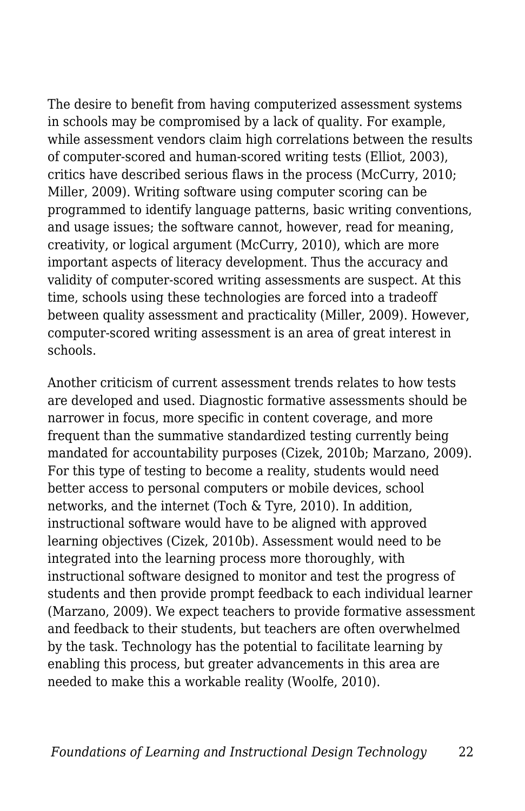The desire to benefit from having computerized assessment systems in schools may be compromised by a lack of quality. For example, while assessment vendors claim high correlations between the results of computer-scored and human-scored writing tests (Elliot, 2003), critics have described serious flaws in the process (McCurry, 2010; Miller, 2009). Writing software using computer scoring can be programmed to identify language patterns, basic writing conventions, and usage issues; the software cannot, however, read for meaning, creativity, or logical argument (McCurry, 2010), which are more important aspects of literacy development. Thus the accuracy and validity of computer-scored writing assessments are suspect. At this time, schools using these technologies are forced into a tradeoff between quality assessment and practicality (Miller, 2009). However, computer-scored writing assessment is an area of great interest in schools.

Another criticism of current assessment trends relates to how tests are developed and used. Diagnostic formative assessments should be narrower in focus, more specific in content coverage, and more frequent than the summative standardized testing currently being mandated for accountability purposes (Cizek, 2010b; Marzano, 2009). For this type of testing to become a reality, students would need better access to personal computers or mobile devices, school networks, and the internet (Toch & Tyre, 2010). In addition, instructional software would have to be aligned with approved learning objectives (Cizek, 2010b). Assessment would need to be integrated into the learning process more thoroughly, with instructional software designed to monitor and test the progress of students and then provide prompt feedback to each individual learner (Marzano, 2009). We expect teachers to provide formative assessment and feedback to their students, but teachers are often overwhelmed by the task. Technology has the potential to facilitate learning by enabling this process, but greater advancements in this area are needed to make this a workable reality (Woolfe, 2010).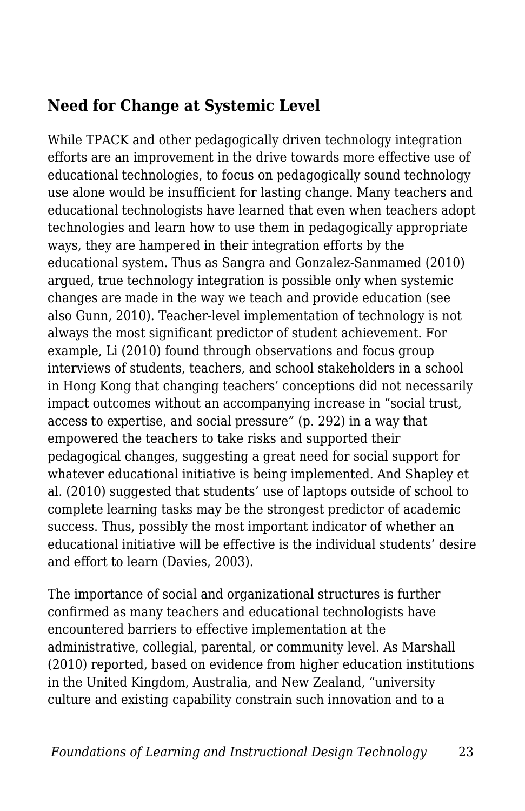### **Need for Change at Systemic Level**

While TPACK and other pedagogically driven technology integration efforts are an improvement in the drive towards more effective use of educational technologies, to focus on pedagogically sound technology use alone would be insufficient for lasting change. Many teachers and educational technologists have learned that even when teachers adopt technologies and learn how to use them in pedagogically appropriate ways, they are hampered in their integration efforts by the educational system. Thus as Sangra and Gonzalez-Sanmamed (2010) argued, true technology integration is possible only when systemic changes are made in the way we teach and provide education (see also Gunn, 2010). Teacher-level implementation of technology is not always the most significant predictor of student achievement. For example, Li (2010) found through observations and focus group interviews of students, teachers, and school stakeholders in a school in Hong Kong that changing teachers' conceptions did not necessarily impact outcomes without an accompanying increase in "social trust, access to expertise, and social pressure" (p. 292) in a way that empowered the teachers to take risks and supported their pedagogical changes, suggesting a great need for social support for whatever educational initiative is being implemented. And Shapley et al. (2010) suggested that students' use of laptops outside of school to complete learning tasks may be the strongest predictor of academic success. Thus, possibly the most important indicator of whether an educational initiative will be effective is the individual students' desire and effort to learn (Davies, 2003).

The importance of social and organizational structures is further confirmed as many teachers and educational technologists have encountered barriers to effective implementation at the administrative, collegial, parental, or community level. As Marshall (2010) reported, based on evidence from higher education institutions in the United Kingdom, Australia, and New Zealand, "university culture and existing capability constrain such innovation and to a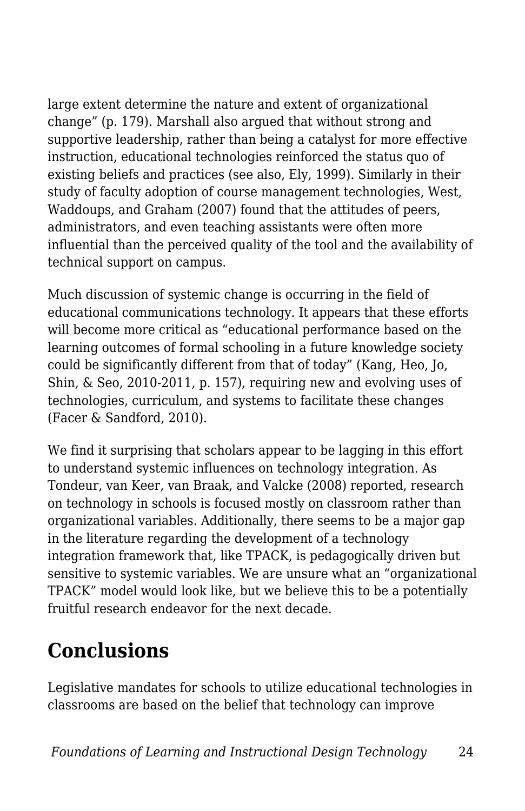large extent determine the nature and extent of organizational change" (p. 179). Marshall also argued that without strong and supportive leadership, rather than being a catalyst for more effective instruction, educational technologies reinforced the status quo of existing beliefs and practices (see also, Ely, 1999). Similarly in their study of faculty adoption of course management technologies, West, Waddoups, and Graham (2007) found that the attitudes of peers, administrators, and even teaching assistants were often more influential than the perceived quality of the tool and the availability of technical support on campus.

Much discussion of systemic change is occurring in the field of educational communications technology. It appears that these efforts will become more critical as "educational performance based on the learning outcomes of formal schooling in a future knowledge society could be significantly different from that of today" (Kang, Heo, Jo, Shin, & Seo, 2010-2011, p. 157), requiring new and evolving uses of technologies, curriculum, and systems to facilitate these changes (Facer & Sandford, 2010).

We find it surprising that scholars appear to be lagging in this effort to understand systemic influences on technology integration. As Tondeur, van Keer, van Braak, and Valcke (2008) reported, research on technology in schools is focused mostly on classroom rather than organizational variables. Additionally, there seems to be a major gap in the literature regarding the development of a technology integration framework that, like TPACK, is pedagogically driven but sensitive to systemic variables. We are unsure what an "organizational TPACK" model would look like, but we believe this to be a potentially fruitful research endeavor for the next decade.

## **Conclusions**

Legislative mandates for schools to utilize educational technologies in classrooms are based on the belief that technology can improve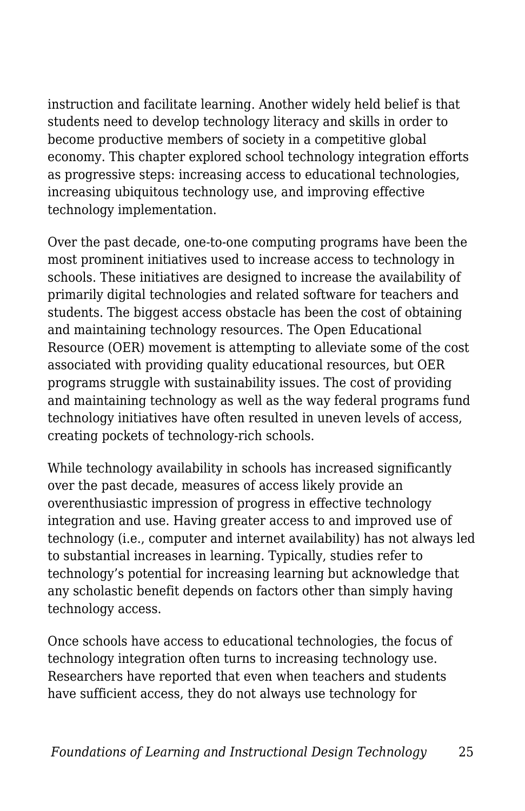instruction and facilitate learning. Another widely held belief is that students need to develop technology literacy and skills in order to become productive members of society in a competitive global economy. This chapter explored school technology integration efforts as progressive steps: increasing access to educational technologies, increasing ubiquitous technology use, and improving effective technology implementation.

Over the past decade, one-to-one computing programs have been the most prominent initiatives used to increase access to technology in schools. These initiatives are designed to increase the availability of primarily digital technologies and related software for teachers and students. The biggest access obstacle has been the cost of obtaining and maintaining technology resources. The Open Educational Resource (OER) movement is attempting to alleviate some of the cost associated with providing quality educational resources, but OER programs struggle with sustainability issues. The cost of providing and maintaining technology as well as the way federal programs fund technology initiatives have often resulted in uneven levels of access, creating pockets of technology-rich schools.

While technology availability in schools has increased significantly over the past decade, measures of access likely provide an overenthusiastic impression of progress in effective technology integration and use. Having greater access to and improved use of technology (i.e., computer and internet availability) has not always led to substantial increases in learning. Typically, studies refer to technology's potential for increasing learning but acknowledge that any scholastic benefit depends on factors other than simply having technology access.

Once schools have access to educational technologies, the focus of technology integration often turns to increasing technology use. Researchers have reported that even when teachers and students have sufficient access, they do not always use technology for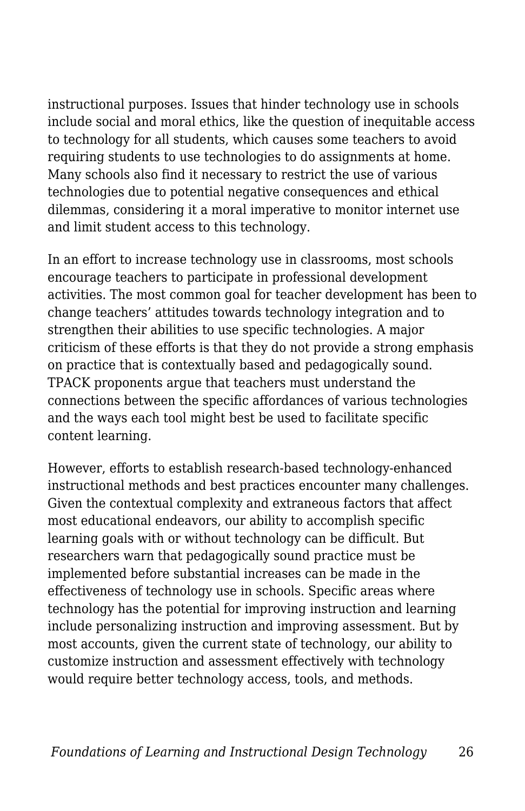instructional purposes. Issues that hinder technology use in schools include social and moral ethics, like the question of inequitable access to technology for all students, which causes some teachers to avoid requiring students to use technologies to do assignments at home. Many schools also find it necessary to restrict the use of various technologies due to potential negative consequences and ethical dilemmas, considering it a moral imperative to monitor internet use and limit student access to this technology.

In an effort to increase technology use in classrooms, most schools encourage teachers to participate in professional development activities. The most common goal for teacher development has been to change teachers' attitudes towards technology integration and to strengthen their abilities to use specific technologies. A major criticism of these efforts is that they do not provide a strong emphasis on practice that is contextually based and pedagogically sound. TPACK proponents argue that teachers must understand the connections between the specific affordances of various technologies and the ways each tool might best be used to facilitate specific content learning.

However, efforts to establish research-based technology-enhanced instructional methods and best practices encounter many challenges. Given the contextual complexity and extraneous factors that affect most educational endeavors, our ability to accomplish specific learning goals with or without technology can be difficult. But researchers warn that pedagogically sound practice must be implemented before substantial increases can be made in the effectiveness of technology use in schools. Specific areas where technology has the potential for improving instruction and learning include personalizing instruction and improving assessment. But by most accounts, given the current state of technology, our ability to customize instruction and assessment effectively with technology would require better technology access, tools, and methods.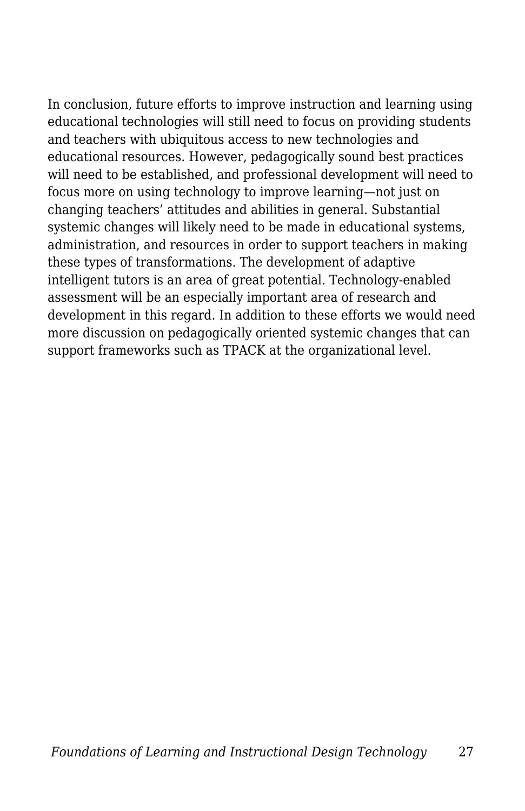In conclusion, future efforts to improve instruction and learning using educational technologies will still need to focus on providing students and teachers with ubiquitous access to new technologies and educational resources. However, pedagogically sound best practices will need to be established, and professional development will need to focus more on using technology to improve learning—not just on changing teachers' attitudes and abilities in general. Substantial systemic changes will likely need to be made in educational systems, administration, and resources in order to support teachers in making these types of transformations. The development of adaptive intelligent tutors is an area of great potential. Technology-enabled assessment will be an especially important area of research and development in this regard. In addition to these efforts we would need more discussion on pedagogically oriented systemic changes that can support frameworks such as TPACK at the organizational level.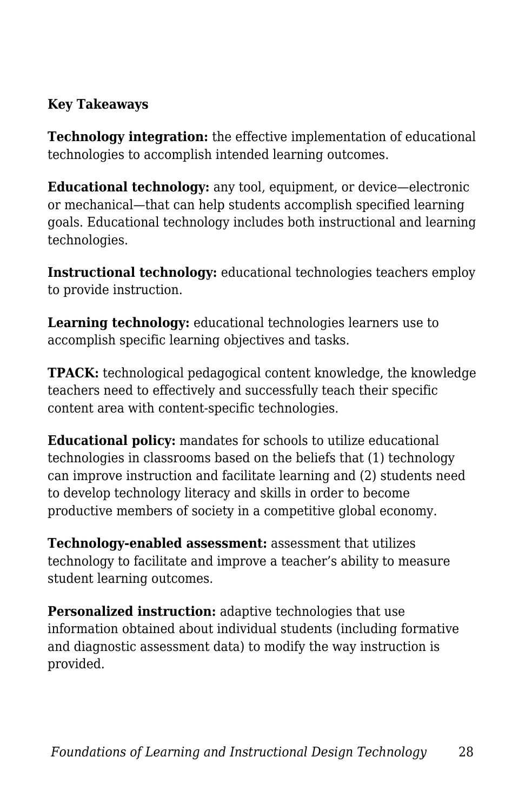#### **Key Takeaways**

**Technology integration:** the effective implementation of educational technologies to accomplish intended learning outcomes.

**Educational technology:** any tool, equipment, or device—electronic or mechanical—that can help students accomplish specified learning goals. Educational technology includes both instructional and learning technologies.

**Instructional technology:** educational technologies teachers employ to provide instruction.

**Learning technology:** educational technologies learners use to accomplish specific learning objectives and tasks.

**TPACK:** technological pedagogical content knowledge, the knowledge teachers need to effectively and successfully teach their specific content area with content-specific technologies.

**Educational policy:** mandates for schools to utilize educational technologies in classrooms based on the beliefs that (1) technology can improve instruction and facilitate learning and (2) students need to develop technology literacy and skills in order to become productive members of society in a competitive global economy.

**Technology-enabled assessment:** assessment that utilizes technology to facilitate and improve a teacher's ability to measure student learning outcomes.

**Personalized instruction:** adaptive technologies that use information obtained about individual students (including formative and diagnostic assessment data) to modify the way instruction is provided.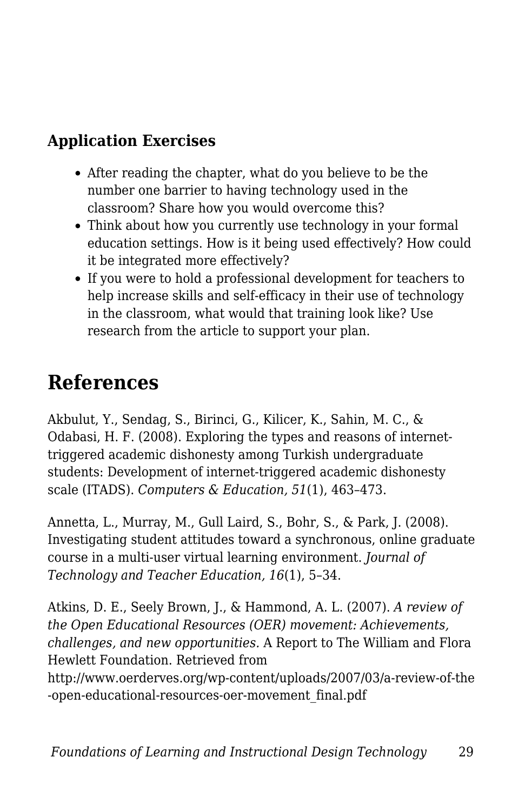## **Application Exercises**

- After reading the chapter, what do you believe to be the number one barrier to having technology used in the classroom? Share how you would overcome this?
- Think about how you currently use technology in your formal education settings. How is it being used effectively? How could it be integrated more effectively?
- If you were to hold a professional development for teachers to help increase skills and self-efficacy in their use of technology in the classroom, what would that training look like? Use research from the article to support your plan.

## **References**

Akbulut, Y., Sendag, S., Birinci, G., Kilicer, K., Sahin, M. C., & Odabasi, H. F. (2008). Exploring the types and reasons of internettriggered academic dishonesty among Turkish undergraduate students: Development of internet-triggered academic dishonesty scale (ITADS). *Computers & Education, 51*(1), 463–473.

Annetta, L., Murray, M., Gull Laird, S., Bohr, S., & Park, J. (2008). Investigating student attitudes toward a synchronous, online graduate course in a multi-user virtual learning environment. *Journal of Technology and Teacher Education, 16*(1), 5–34.

Atkins, D. E., Seely Brown, J., & Hammond, A. L. (2007). *A review of the Open Educational Resources (OER) movement: Achievements, challenges, and new opportunities.* A Report to The William and Flora Hewlett Foundation. Retrieved from http://www.oerderves.org/wp-content/uploads/2007/03/a-review-of-the

-open-educational-resources-oer-movement\_final.pdf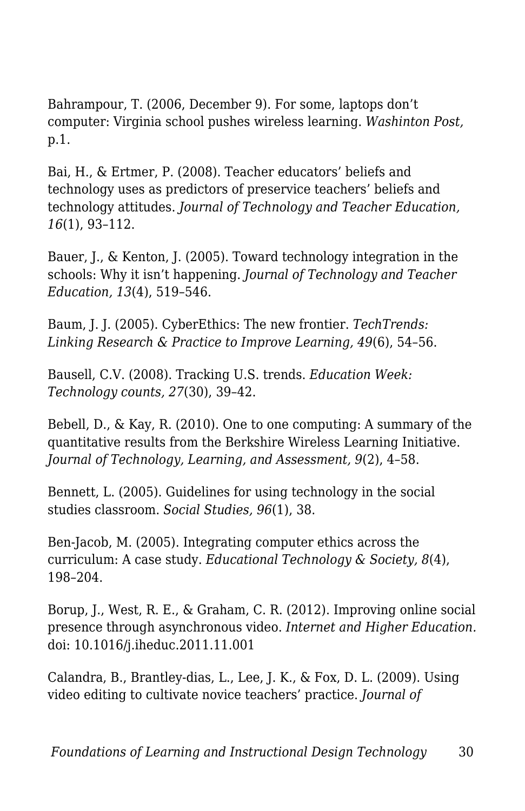Bahrampour, T. (2006, December 9). For some, laptops don't computer: Virginia school pushes wireless learning. *Washinton Post,* p.1.

Bai, H., & Ertmer, P. (2008). Teacher educators' beliefs and technology uses as predictors of preservice teachers' beliefs and technology attitudes. *Journal of Technology and Teacher Education, 16*(1), 93–112.

Bauer, J., & Kenton, J. (2005). Toward technology integration in the schools: Why it isn't happening. *Journal of Technology and Teacher Education, 13*(4), 519–546.

Baum, J. J. (2005). CyberEthics: The new frontier. *TechTrends: Linking Research & Practice to Improve Learning, 49*(6), 54–56.

Bausell, C.V. (2008). Tracking U.S. trends. *Education Week: Technology counts, 27*(30), 39–42.

Bebell, D., & Kay, R. (2010). One to one computing: A summary of the quantitative results from the Berkshire Wireless Learning Initiative. *Journal of Technology, Learning, and Assessment, 9*(2), 4–58.

Bennett, L. (2005). Guidelines for using technology in the social studies classroom. *Social Studies, 96*(1), 38.

Ben-Jacob, M. (2005). Integrating computer ethics across the curriculum: A case study. *Educational Technology & Society, 8*(4), 198–204.

Borup, J., West, R. E., & Graham, C. R. (2012). Improving online social presence through asynchronous video. *Internet and Higher Education.* doi: 10.1016/j.iheduc.2011.11.001

Calandra, B., Brantley-dias, L., Lee, J. K., & Fox, D. L. (2009). Using video editing to cultivate novice teachers' practice. *Journal of*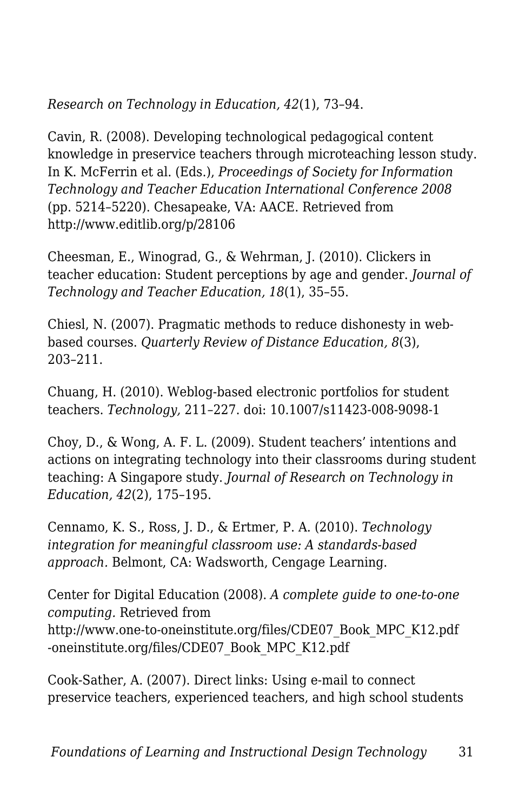*Research on Technology in Education, 42*(1), 73–94.

Cavin, R. (2008). Developing technological pedagogical content knowledge in preservice teachers through microteaching lesson study. In K. McFerrin et al. (Eds.), *Proceedings of Society for Information Technology and Teacher Education International Conference 2008* (pp. 5214–5220). Chesapeake, VA: AACE. Retrieved from http://www.editlib.org/p/28106

Cheesman, E., Winograd, G., & Wehrman, J. (2010). Clickers in teacher education: Student perceptions by age and gender. *Journal of Technology and Teacher Education, 18*(1), 35–55.

Chiesl, N. (2007). Pragmatic methods to reduce dishonesty in webbased courses. *Quarterly Review of Distance Education, 8*(3), 203–211.

Chuang, H. (2010). Weblog-based electronic portfolios for student teachers. *Technology,* 211–227. doi: 10.1007/s11423-008-9098-1

Choy, D., & Wong, A. F. L. (2009). Student teachers' intentions and actions on integrating technology into their classrooms during student teaching: A Singapore study. *Journal of Research on Technology in Education, 42*(2), 175–195.

Cennamo, K. S., Ross, J. D., & Ertmer, P. A. (2010). *Technology integration for meaningful classroom use: A standards-based approach.* Belmont, CA: Wadsworth, Cengage Learning.

Center for Digital Education (2008). *A complete guide to one-to-one computing.* Retrieved from http://www.one-to-oneinstitute.org/files/CDE07\_Book\_MPC\_K12.pdf -oneinstitute.org/files/CDE07\_Book\_MPC\_K12.pdf

Cook-Sather, A. (2007). Direct links: Using e-mail to connect preservice teachers, experienced teachers, and high school students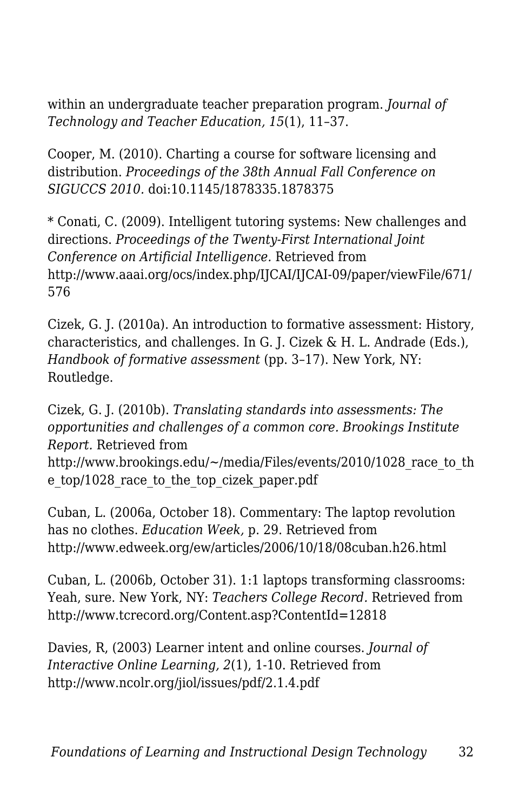within an undergraduate teacher preparation program. *Journal of Technology and Teacher Education, 15*(1), 11–37.

Cooper, M. (2010). Charting a course for software licensing and distribution. *Proceedings of the 38th Annual Fall Conference on SIGUCCS 2010.* doi:10.1145/1878335.1878375

\* Conati, C. (2009). Intelligent tutoring systems: New challenges and directions. *Proceedings of the Twenty-First International Joint Conference on Artificial Intelligence.* Retrieved from http://www.aaai.org/ocs/index.php/IJCAI/IJCAI-09/paper/viewFile/671/ 576

Cizek, G. J. (2010a). An introduction to formative assessment: History, characteristics, and challenges. In G. J. Cizek & H. L. Andrade (Eds.), *Handbook of formative assessment* (pp. 3–17). New York, NY: Routledge.

Cizek, G. J. (2010b). *Translating standards into assessments: The opportunities and challenges of a common core. Brookings Institute Report.* Retrieved from http://www.brookings.edu/~/media/Files/events/2010/1028 race to th e top/1028 race to the top cizek paper.pdf

Cuban, L. (2006a, October 18). Commentary: The laptop revolution has no clothes. *Education Week,* p. 29. Retrieved from http://www.edweek.org/ew/articles/2006/10/18/08cuban.h26.html

Cuban, L. (2006b, October 31). 1:1 laptops transforming classrooms: Yeah, sure. New York, NY: *Teachers College Record.* Retrieved from http://www.tcrecord.org/Content.asp?ContentId=12818

Davies, R, (2003) Learner intent and online courses. *Journal of Interactive Online Learning, 2*(1), 1-10. Retrieved from http://www.ncolr.org/jiol/issues/pdf/2.1.4.pdf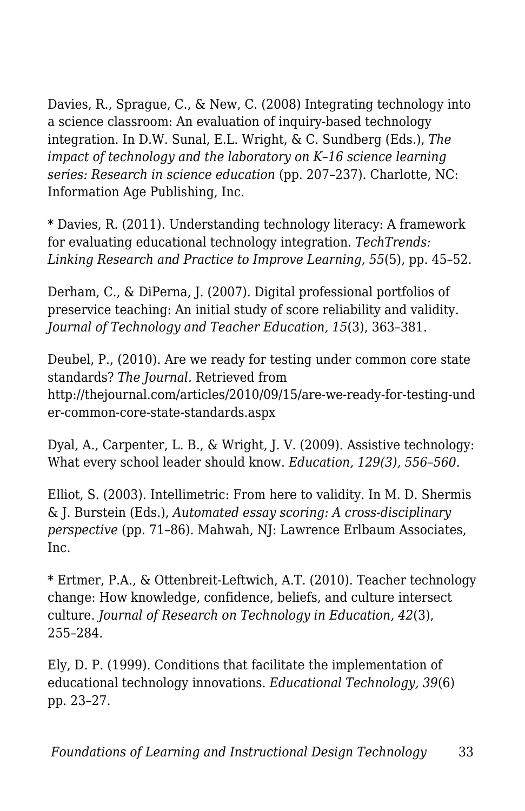Davies, R., Sprague, C., & New, C. (2008) Integrating technology into a science classroom: An evaluation of inquiry-based technology integration. In D.W. Sunal, E.L. Wright, & C. Sundberg (Eds.), *The impact of technology and the laboratory on K–16 science learning series: Research in science education* (pp. 207–237). Charlotte, NC: Information Age Publishing, Inc.

\* Davies, R. (2011). Understanding technology literacy: A framework for evaluating educational technology integration. *TechTrends: Linking Research and Practice to Improve Learning, 55*(5), pp. 45–52.

Derham, C., & DiPerna, J. (2007). Digital professional portfolios of preservice teaching: An initial study of score reliability and validity. *Journal of Technology and Teacher Education, 15*(3), 363–381.

Deubel, P., (2010). Are we ready for testing under common core state standards? *The Journal.* Retrieved from http://thejournal.com/articles/2010/09/15/are-we-ready-for-testing-und er-common-core-state-standards.aspx

Dyal, A., Carpenter, L. B., & Wright, J. V. (2009). Assistive technology: What every school leader should know. *Education, 129(3), 556–560.*

Elliot, S. (2003). Intellimetric: From here to validity. In M. D. Shermis & J. Burstein (Eds.), *Automated essay scoring: A cross-disciplinary perspective* (pp. 71–86). Mahwah, NJ: Lawrence Erlbaum Associates, Inc.

\* Ertmer, P.A., & Ottenbreit-Leftwich, A.T. (2010). Teacher technology change: How knowledge, confidence, beliefs, and culture intersect culture. *Journal of Research on Technology in Education, 42*(3), 255–284.

Ely, D. P. (1999). Conditions that facilitate the implementation of educational technology innovations. *Educational Technology, 39*(6) pp. 23–27.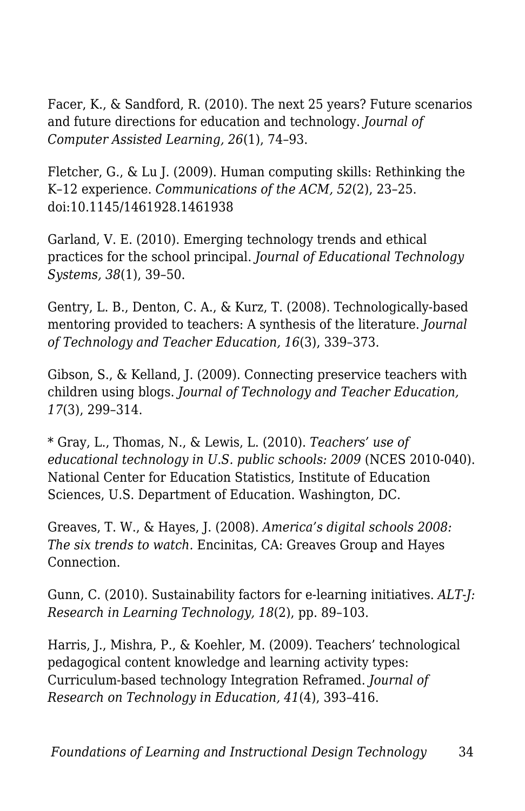Facer, K., & Sandford, R. (2010). The next 25 years? Future scenarios and future directions for education and technology. *Journal of Computer Assisted Learning, 26*(1), 74–93.

Fletcher, G., & Lu J. (2009). Human computing skills: Rethinking the K–12 experience. *Communications of the ACM, 52*(2), 23–25. doi:10.1145/1461928.1461938

Garland, V. E. (2010). Emerging technology trends and ethical practices for the school principal. *Journal of Educational Technology Systems, 38*(1), 39–50.

Gentry, L. B., Denton, C. A., & Kurz, T. (2008). Technologically-based mentoring provided to teachers: A synthesis of the literature. *Journal of Technology and Teacher Education, 16*(3), 339–373.

Gibson, S., & Kelland, J. (2009). Connecting preservice teachers with children using blogs. *Journal of Technology and Teacher Education, 17*(3), 299–314.

\* Gray, L., Thomas, N., & Lewis, L. (2010). *Teachers' use of educational technology in U.S. public schools: 2009* (NCES 2010-040). National Center for Education Statistics, Institute of Education Sciences, U.S. Department of Education. Washington, DC.

Greaves, T. W., & Hayes, J. (2008). *America's digital schools 2008: The six trends to watch.* Encinitas, CA: Greaves Group and Hayes Connection.

Gunn, C. (2010). Sustainability factors for e-learning initiatives. *ALT-J: Research in Learning Technology, 18*(2), pp. 89–103.

Harris, J., Mishra, P., & Koehler, M. (2009). Teachers' technological pedagogical content knowledge and learning activity types: Curriculum-based technology Integration Reframed. *Journal of Research on Technology in Education, 41*(4), 393–416.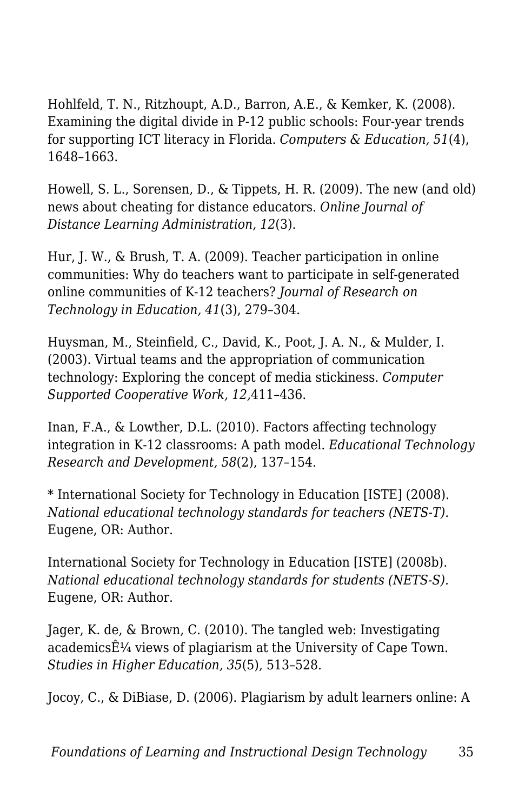Hohlfeld, T. N., Ritzhoupt, A.D., Barron, A.E., & Kemker, K. (2008). Examining the digital divide in P-12 public schools: Four-year trends for supporting ICT literacy in Florida. *Computers & Education, 51*(4), 1648–1663.

Howell, S. L., Sorensen, D., & Tippets, H. R. (2009). The new (and old) news about cheating for distance educators. *Online Journal of Distance Learning Administration, 12*(3).

Hur, J. W., & Brush, T. A. (2009). Teacher participation in online communities: Why do teachers want to participate in self-generated online communities of K-12 teachers? *Journal of Research on Technology in Education, 41*(3), 279–304.

Huysman, M., Steinfield, C., David, K., Poot, J. A. N., & Mulder, I. (2003). Virtual teams and the appropriation of communication technology: Exploring the concept of media stickiness. *Computer Supported Cooperative Work, 12,*411–436.

Inan, F.A., & Lowther, D.L. (2010). Factors affecting technology integration in K-12 classrooms: A path model. *Educational Technology Research and Development, 58*(2), 137–154.

\* International Society for Technology in Education [ISTE] (2008). *National educational technology standards for teachers (NETS-T).* Eugene, OR: Author.

International Society for Technology in Education [ISTE] (2008b). *National educational technology standards for students (NETS-S).* Eugene, OR: Author.

Jager, K. de, & Brown, C. (2010). The tangled web: Investigating academics $\hat{E}$ <sup>1</sup>/4 views of plagiarism at the University of Cape Town. *Studies in Higher Education, 35*(5), 513–528.

Jocoy, C., & DiBiase, D. (2006). Plagiarism by adult learners online: A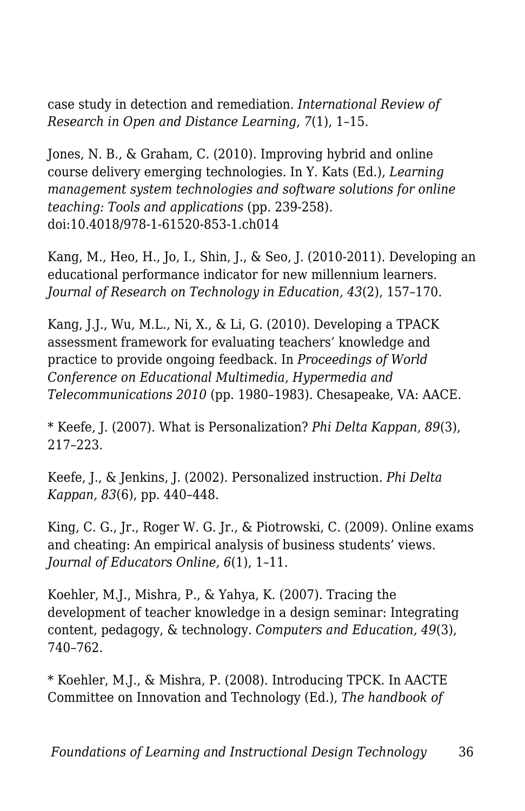case study in detection and remediation. *International Review of Research in Open and Distance Learning, 7*(1), 1–15.

Jones, N. B., & Graham, C. (2010). Improving hybrid and online course delivery emerging technologies. In Y. Kats (Ed.), *Learning management system technologies and software solutions for online teaching: Tools and applications* (pp. 239-258). doi:10.4018/978-1-61520-853-1.ch014

Kang, M., Heo, H., Jo, I., Shin, J., & Seo, J. (2010-2011). Developing an educational performance indicator for new millennium learners. *Journal of Research on Technology in Education, 43*(2), 157–170.

Kang, J.J., Wu, M.L., Ni, X., & Li, G. (2010). Developing a TPACK assessment framework for evaluating teachers' knowledge and practice to provide ongoing feedback. In *Proceedings of World Conference on Educational Multimedia, Hypermedia and Telecommunications 2010* (pp. 1980–1983). Chesapeake, VA: AACE.

\* Keefe, J. (2007). What is Personalization? *Phi Delta Kappan, 89*(3), 217–223.

Keefe, J., & Jenkins, J. (2002). Personalized instruction. *Phi Delta Kappan, 83*(6), pp. 440–448.

King, C. G., Jr., Roger W. G. Jr., & Piotrowski, C. (2009). Online exams and cheating: An empirical analysis of business students' views. *Journal of Educators Online, 6*(1), 1–11.

Koehler, M.J., Mishra, P., & Yahya, K. (2007). Tracing the development of teacher knowledge in a design seminar: Integrating content, pedagogy, & technology. *Computers and Education, 49*(3), 740–762.

\* Koehler, M.J., & Mishra, P. (2008). Introducing TPCK. In AACTE Committee on Innovation and Technology (Ed.), *The handbook of*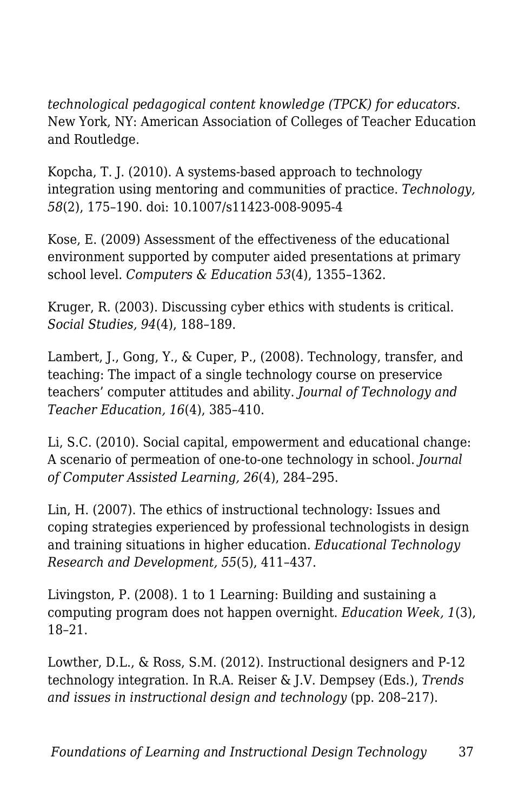*technological pedagogical content knowledge (TPCK) for educators.* New York, NY: American Association of Colleges of Teacher Education and Routledge.

Kopcha, T. J. (2010). A systems-based approach to technology integration using mentoring and communities of practice. *Technology, 58*(2), 175–190. doi: 10.1007/s11423-008-9095-4

Kose, E. (2009) Assessment of the effectiveness of the educational environment supported by computer aided presentations at primary school level. *Computers & Education 53*(4), 1355–1362.

Kruger, R. (2003). Discussing cyber ethics with students is critical. *Social Studies, 94*(4), 188–189.

Lambert, J., Gong, Y., & Cuper, P., (2008). Technology, transfer, and teaching: The impact of a single technology course on preservice teachers' computer attitudes and ability. *Journal of Technology and Teacher Education, 16*(4), 385–410.

Li, S.C. (2010). Social capital, empowerment and educational change: A scenario of permeation of one-to-one technology in school. *Journal of Computer Assisted Learning, 26*(4), 284–295.

Lin, H. (2007). The ethics of instructional technology: Issues and coping strategies experienced by professional technologists in design and training situations in higher education. *Educational Technology Research and Development, 55*(5), 411–437.

Livingston, P. (2008). 1 to 1 Learning: Building and sustaining a computing program does not happen overnight. *Education Week, 1*(3), 18–21.

Lowther, D.L., & Ross, S.M. (2012). Instructional designers and P-12 technology integration. In R.A. Reiser & J.V. Dempsey (Eds.), *Trends and issues in instructional design and technology* (pp. 208–217).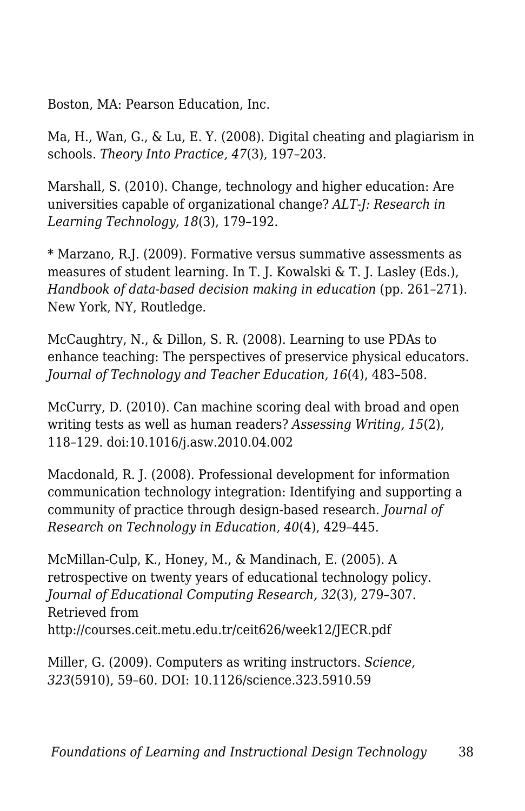Boston, MA: Pearson Education, Inc.

Ma, H., Wan, G., & Lu, E. Y. (2008). Digital cheating and plagiarism in schools. *Theory Into Practice, 47*(3), 197–203.

Marshall, S. (2010). Change, technology and higher education: Are universities capable of organizational change? *ALT-J: Research in Learning Technology, 18*(3), 179–192.

\* Marzano, R.J. (2009). Formative versus summative assessments as measures of student learning. In T. J. Kowalski & T. J. Lasley (Eds.), *Handbook of data-based decision making in education* (pp. 261–271). New York, NY, Routledge.

McCaughtry, N., & Dillon, S. R. (2008). Learning to use PDAs to enhance teaching: The perspectives of preservice physical educators. *Journal of Technology and Teacher Education, 16*(4), 483–508.

McCurry, D. (2010). Can machine scoring deal with broad and open writing tests as well as human readers? *Assessing Writing, 15*(2), 118–129. doi:10.1016/j.asw.2010.04.002

Macdonald, R. J. (2008). Professional development for information communication technology integration: Identifying and supporting a community of practice through design-based research. *Journal of Research on Technology in Education, 40*(4), 429–445.

McMillan-Culp, K., Honey, M., & Mandinach, E. (2005). A retrospective on twenty years of educational technology policy. *Journal of Educational Computing Research, 32*(3), 279–307. Retrieved from http://courses.ceit.metu.edu.tr/ceit626/week12/JECR.pdf

Miller, G. (2009). Computers as writing instructors. *Science, 323*(5910), 59–60. DOI: 10.1126/science.323.5910.59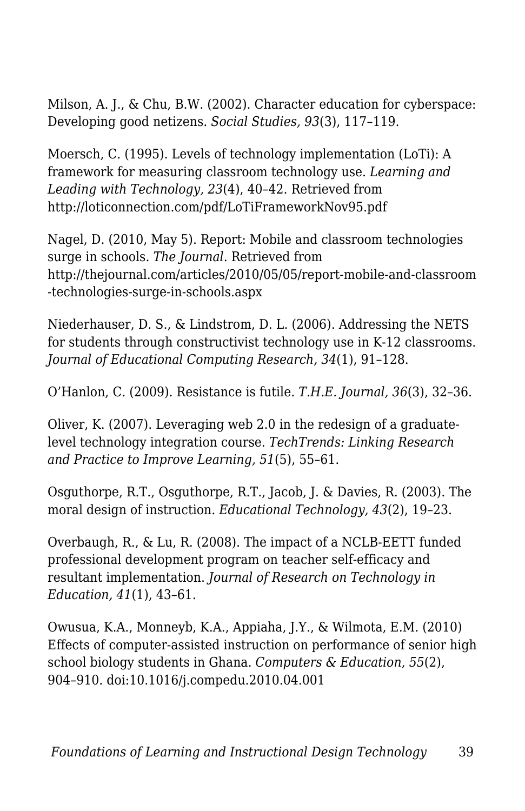Milson, A. J., & Chu, B.W. (2002). Character education for cyberspace: Developing good netizens. *Social Studies, 93*(3), 117–119.

Moersch, C. (1995). Levels of technology implementation (LoTi): A framework for measuring classroom technology use. *Learning and Leading with Technology, 23*(4), 40–42. Retrieved from http://loticonnection.com/pdf/LoTiFrameworkNov95.pdf

Nagel, D. (2010, May 5). Report: Mobile and classroom technologies surge in schools. *The Journal.* Retrieved from http://thejournal.com/articles/2010/05/05/report-mobile-and-classroom -technologies-surge-in-schools.aspx

Niederhauser, D. S., & Lindstrom, D. L. (2006). Addressing the NETS for students through constructivist technology use in K-12 classrooms. *Journal of Educational Computing Research, 34*(1), 91–128.

O'Hanlon, C. (2009). Resistance is futile. *T.H.E. Journal, 36*(3), 32–36.

Oliver, K. (2007). Leveraging web 2.0 in the redesign of a graduatelevel technology integration course. *TechTrends: Linking Research and Practice to Improve Learning, 51*(5), 55–61.

Osguthorpe, R.T., Osguthorpe, R.T., Jacob, J. & Davies, R. (2003). The moral design of instruction. *Educational Technology, 43*(2), 19–23.

Overbaugh, R., & Lu, R. (2008). The impact of a NCLB-EETT funded professional development program on teacher self-efficacy and resultant implementation. *Journal of Research on Technology in Education, 41*(1), 43–61.

Owusua, K.A., Monneyb, K.A., Appiaha, J.Y., & Wilmota, E.M. (2010) Effects of computer-assisted instruction on performance of senior high school biology students in Ghana. *Computers & Education, 55*(2), 904–910. doi:10.1016/j.compedu.2010.04.001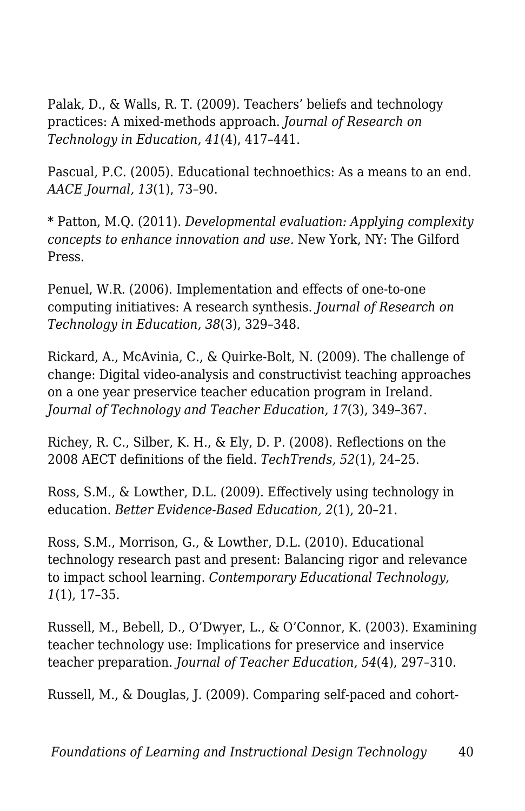Palak, D., & Walls, R. T. (2009). Teachers' beliefs and technology practices: A mixed-methods approach. *Journal of Research on Technology in Education, 41*(4), 417–441.

Pascual, P.C. (2005). Educational technoethics: As a means to an end. *AACE Journal, 13*(1), 73–90.

\* Patton, M.Q. (2011). *Developmental evaluation: Applying complexity concepts to enhance innovation and use.* New York, NY: The Gilford Press.

Penuel, W.R. (2006). Implementation and effects of one-to-one computing initiatives: A research synthesis. *Journal of Research on Technology in Education, 38*(3), 329–348.

Rickard, A., McAvinia, C., & Quirke-Bolt, N. (2009). The challenge of change: Digital video-analysis and constructivist teaching approaches on a one year preservice teacher education program in Ireland. *Journal of Technology and Teacher Education, 17*(3), 349–367.

Richey, R. C., Silber, K. H., & Ely, D. P. (2008). Reflections on the 2008 AECT definitions of the field. *TechTrends, 52*(1), 24–25.

Ross, S.M., & Lowther, D.L. (2009). Effectively using technology in education. *Better Evidence-Based Education, 2*(1), 20–21.

Ross, S.M., Morrison, G., & Lowther, D.L. (2010). Educational technology research past and present: Balancing rigor and relevance to impact school learning. *Contemporary Educational Technology, 1*(1), 17–35.

Russell, M., Bebell, D., O'Dwyer, L., & O'Connor, K. (2003). Examining teacher technology use: Implications for preservice and inservice teacher preparation. *Journal of Teacher Education, 54*(4), 297–310.

Russell, M., & Douglas, J. (2009). Comparing self-paced and cohort-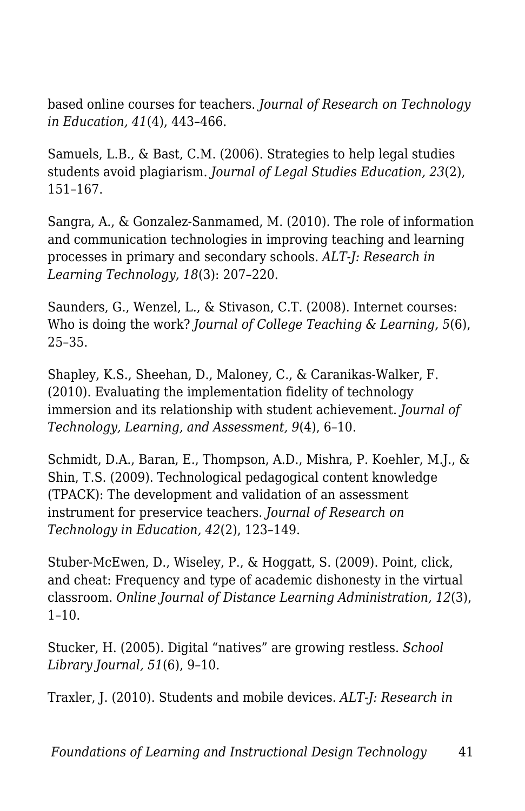based online courses for teachers. *Journal of Research on Technology in Education, 41*(4), 443–466.

Samuels, L.B., & Bast, C.M. (2006). Strategies to help legal studies students avoid plagiarism. *Journal of Legal Studies Education, 23*(2), 151–167.

Sangra, A., & Gonzalez-Sanmamed, M. (2010). The role of information and communication technologies in improving teaching and learning processes in primary and secondary schools. *ALT-J: Research in Learning Technology, 18*(3): 207–220.

Saunders, G., Wenzel, L., & Stivason, C.T. (2008). Internet courses: Who is doing the work? *Journal of College Teaching & Learning, 5*(6), 25–35.

Shapley, K.S., Sheehan, D., Maloney, C., & Caranikas-Walker, F. (2010). Evaluating the implementation fidelity of technology immersion and its relationship with student achievement. *Journal of Technology, Learning, and Assessment, 9*(4), 6–10.

Schmidt, D.A., Baran, E., Thompson, A.D., Mishra, P. Koehler, M.J., & Shin, T.S. (2009). Technological pedagogical content knowledge (TPACK): The development and validation of an assessment instrument for preservice teachers. *Journal of Research on Technology in Education, 42*(2), 123–149.

Stuber-McEwen, D., Wiseley, P., & Hoggatt, S. (2009). Point, click, and cheat: Frequency and type of academic dishonesty in the virtual classroom. *Online Journal of Distance Learning Administration, 12*(3),  $1-10.$ 

Stucker, H. (2005). Digital "natives" are growing restless. *School Library Journal, 51*(6), 9–10.

Traxler, J. (2010). Students and mobile devices. *ALT-J: Research in*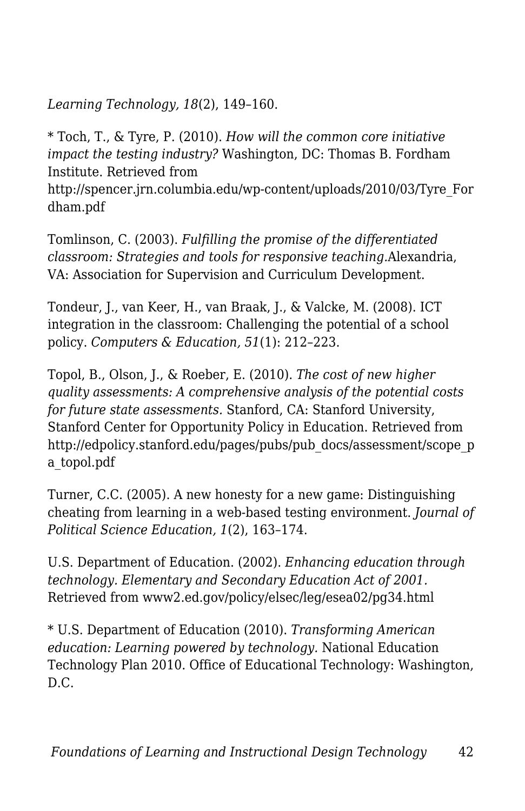*Learning Technology, 18*(2), 149–160.

\* Toch, T., & Tyre, P. (2010). *How will the common core initiative impact the testing industry?* Washington, DC: Thomas B. Fordham Institute. Retrieved from http://spencer.jrn.columbia.edu/wp-content/uploads/2010/03/Tyre\_For dham.pdf

Tomlinson, C. (2003). *Fulfilling the promise of the differentiated classroom: Strategies and tools for responsive teaching.*Alexandria, VA: Association for Supervision and Curriculum Development.

Tondeur, J., van Keer, H., van Braak, J., & Valcke, M. (2008). ICT integration in the classroom: Challenging the potential of a school policy. *Computers & Education, 51*(1): 212–223.

Topol, B., Olson, J., & Roeber, E. (2010). *The cost of new higher quality assessments: A comprehensive analysis of the potential costs for future state assessments.* Stanford, CA: Stanford University, Stanford Center for Opportunity Policy in Education. Retrieved from http://edpolicy.stanford.edu/pages/pubs/pub\_docs/assessment/scope\_p\_ a\_topol.pdf

Turner, C.C. (2005). A new honesty for a new game: Distinguishing cheating from learning in a web-based testing environment. *Journal of Political Science Education, 1*(2), 163–174.

U.S. Department of Education. (2002). *Enhancing education through technology. Elementary and Secondary Education Act of 2001.* Retrieved from www2.ed.gov/policy/elsec/leg/esea02/pg34.html

\* U.S. Department of Education (2010). *Transforming American education: Learning powered by technology.* National Education Technology Plan 2010. Office of Educational Technology: Washington, D.C.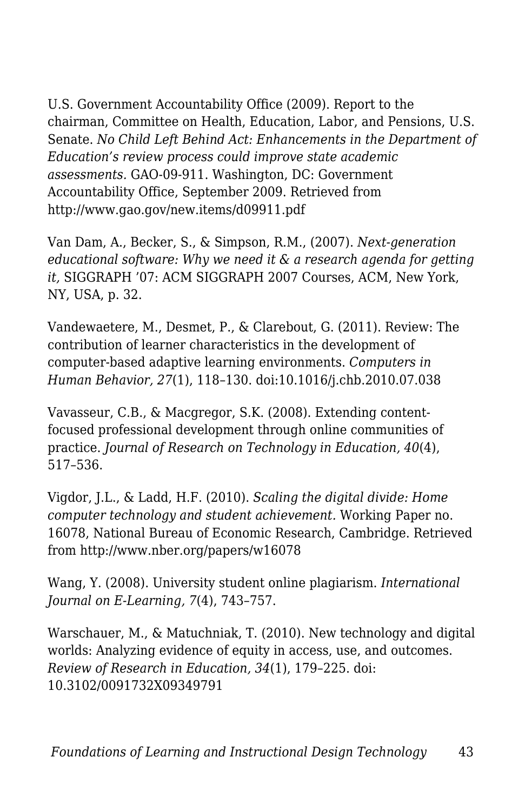U.S. Government Accountability Office (2009). Report to the chairman, Committee on Health, Education, Labor, and Pensions, U.S. Senate. *No Child Left Behind Act: Enhancements in the Department of Education's review process could improve state academic assessments.* GAO-09-911. Washington, DC: Government Accountability Office, September 2009. Retrieved from http://www.gao.gov/new.items/d09911.pdf

Van Dam, A., Becker, S., & Simpson, R.M., (2007). *Next-generation educational software: Why we need it & a research agenda for getting it,* SIGGRAPH '07: ACM SIGGRAPH 2007 Courses, ACM, New York, NY, USA, p. 32.

Vandewaetere, M., Desmet, P., & Clarebout, G. (2011). Review: The contribution of learner characteristics in the development of computer-based adaptive learning environments. *Computers in Human Behavior, 27*(1), 118–130. doi:10.1016/j.chb.2010.07.038

Vavasseur, C.B., & Macgregor, S.K. (2008). Extending contentfocused professional development through online communities of practice. *Journal of Research on Technology in Education, 40*(4), 517–536.

Vigdor, J.L., & Ladd, H.F. (2010). *Scaling the digital divide: Home computer technology and student achievement.* Working Paper no. 16078, National Bureau of Economic Research, Cambridge. Retrieved from http://www.nber.org/papers/w16078

Wang, Y. (2008). University student online plagiarism. *International Journal on E-Learning, 7*(4), 743–757.

Warschauer, M., & Matuchniak, T. (2010). New technology and digital worlds: Analyzing evidence of equity in access, use, and outcomes. *Review of Research in Education, 34*(1), 179–225. doi: 10.3102/0091732X09349791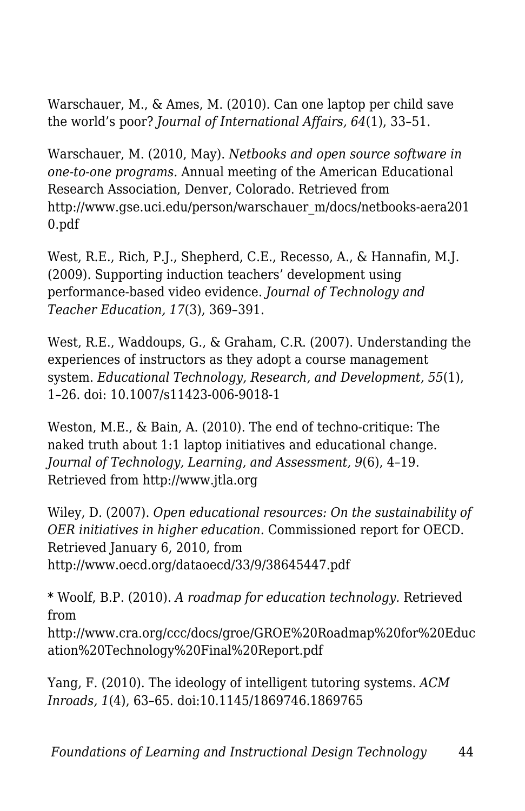Warschauer, M., & Ames, M. (2010). Can one laptop per child save the world's poor? *Journal of International Affairs, 64*(1), 33–51.

Warschauer, M. (2010, May). *Netbooks and open source software in one-to-one programs.* Annual meeting of the American Educational Research Association, Denver, Colorado. Retrieved from http://www.gse.uci.edu/person/warschauer\_m/docs/netbooks-aera201 0.pdf

West, R.E., Rich, P.J., Shepherd, C.E., Recesso, A., & Hannafin, M.J. (2009). Supporting induction teachers' development using performance-based video evidence. *Journal of Technology and Teacher Education, 17*(3), 369–391.

West, R.E., Waddoups, G., & Graham, C.R. (2007). Understanding the experiences of instructors as they adopt a course management system. *Educational Technology, Research, and Development, 55*(1), 1–26. doi: 10.1007/s11423-006-9018-1

Weston, M.E., & Bain, A. (2010). The end of techno-critique: The naked truth about 1:1 laptop initiatives and educational change. *Journal of Technology, Learning, and Assessment, 9*(6), 4–19. Retrieved from http://www.jtla.org

Wiley, D. (2007). *Open educational resources: On the sustainability of OER initiatives in higher education.* Commissioned report for OECD. Retrieved January 6, 2010, from http://www.oecd.org/dataoecd/33/9/38645447.pdf

\* Woolf, B.P. (2010). *A roadmap for education technology.* Retrieved from http://www.cra.org/ccc/docs/groe/GROE%20Roadmap%20for%20Educ ation%20Technology%20Final%20Report.pdf

Yang, F. (2010). The ideology of intelligent tutoring systems. *ACM Inroads, 1*(4), 63–65. doi:10.1145/1869746.1869765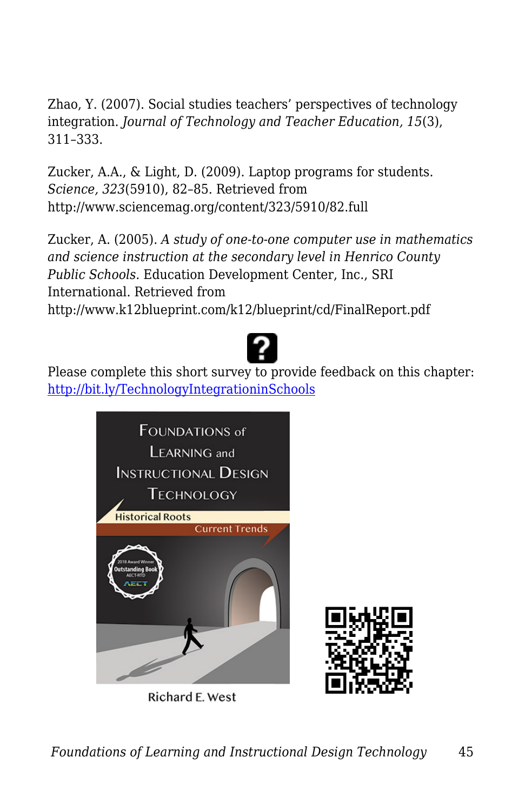Zhao, Y. (2007). Social studies teachers' perspectives of technology integration. *Journal of Technology and Teacher Education, 15*(3), 311–333.

Zucker, A.A., & Light, D. (2009). Laptop programs for students. *Science, 323*(5910), 82–85. Retrieved from http://www.sciencemag.org/content/323/5910/82.full

Zucker, A. (2005). *A study of one-to-one computer use in mathematics and science instruction at the secondary level in Henrico County Public Schools.* Education Development Center, Inc., SRI International. Retrieved from http://www.k12blueprint.com/k12/blueprint/cd/FinalReport.pdf



Please complete this short survey to provide feedback on this chapter: <http://bit.ly/TechnologyIntegrationinSchools>



Richard E. West